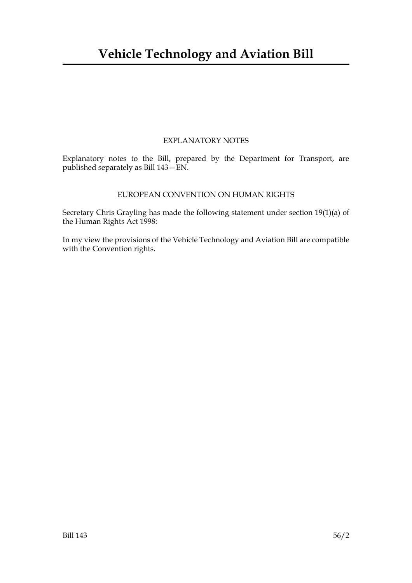## EXPLANATORY NOTES

Explanatory notes to the Bill, prepared by the Department for Transport, are published separately as Bill 143—EN.

## EUROPEAN CONVENTION ON HUMAN RIGHTS

Secretary Chris Grayling has made the following statement under section 19(1)(a) of the Human Rights Act 1998:

In my view the provisions of the Vehicle Technology and Aviation Bill are compatible with the Convention rights.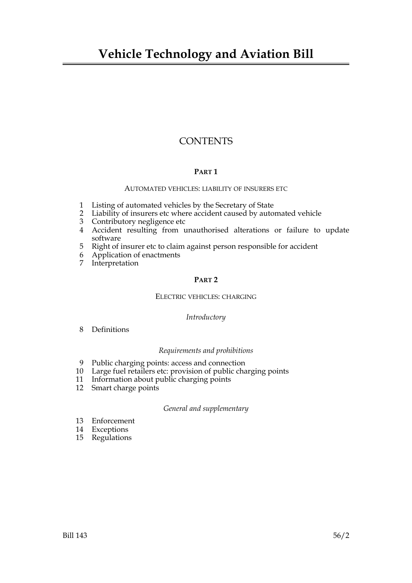## **CONTENTS**

## **PART 1**

## AUTOMATED VEHICLES: LIABILITY OF INSURERS ETC

- 1 Listing of automated vehicles by the Secretary of State
- 2 Liability of insurers etc where accident caused by automated vehicle
- 3 Contributory negligence etc
- 4 Accident resulting from unauthorised alterations or failure to update software
- 5 Right of insurer etc to claim against person responsible for accident
- 6 Application of enactments
- 7 Interpretation

## **PART 2**

## ELECTRIC VEHICLES: CHARGING

## *Introductory*

8 Definitions

## *Requirements and prohibitions*

- 9 Public charging points: access and connection
- 10 Large fuel retailers etc: provision of public charging points
- 11 Information about public charging points
- 12 Smart charge points

## *General and supplementary*

- 13 Enforcement
- 14 Exceptions
- 15 Regulations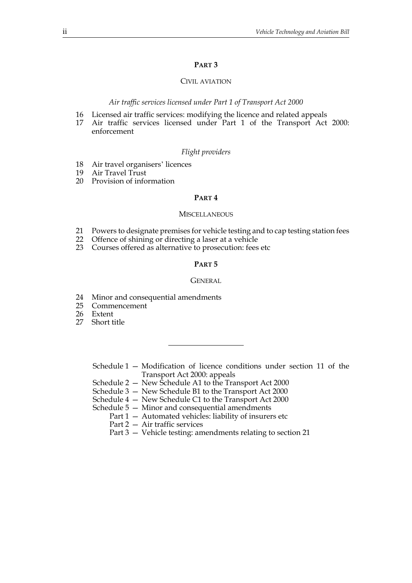## **PART 3**

#### CIVIL AVIATION

#### *Air traffic services licensed under Part 1 of Transport Act 2000*

- 16 Licensed air traffic services: modifying the licence and related appeals
- 17 Air traffic services licensed under Part 1 of the Transport Act 2000: enforcement

#### *Flight providers*

- 18 Air travel organisers' licences
- 19 Air Travel Trust
- 20 Provision of information

#### **PART 4**

#### **MISCELLANEOUS**

- 21 Powers to designate premises for vehicle testing and to cap testing station fees
- 22 Offence of shining or directing a laser at a vehicle
- 23 Courses offered as alternative to prosecution: fees etc

#### **PART 5**

#### **GENERAL**

- 24 Minor and consequential amendments
- 25 Commencement
- 26 Extent<br>27 Short t
- Short title

Schedule 1 — Modification of licence conditions under section 11 of the Transport Act 2000: appeals

- Schedule 2 New Schedule A1 to the Transport Act 2000
- Schedule 3 New Schedule B1 to the Transport Act 2000
- Schedule 4 New Schedule C1 to the Transport Act 2000

Schedule 5 — Minor and consequential amendments

- Part  $1 -$  Automated vehicles: liability of insurers etc
- Part 2 Air traffic services
- Part 3 Vehicle testing: amendments relating to section 21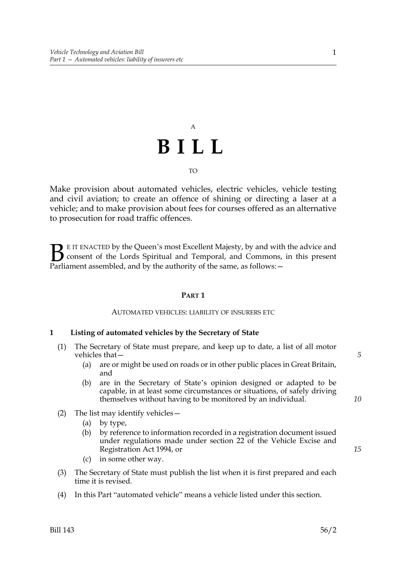# A **BILL** TO

Make provision about automated vehicles, electric vehicles, vehicle testing and civil aviation; to create an offence of shining or directing a laser at a vehicle; and to make provision about fees for courses offered as an alternative to prosecution for road traffic offences.

E IT ENACTED by the Queen's most Excellent Majesty, by and with the advice and consent of the Lords Spiritual and Temporal, and Commons, in this present Parliament assembled, and by the authority of the same, as follows: - $B_{\text{p}}$ 

## **PART 1**

## AUTOMATED VEHICLES: LIABILITY OF INSURERS ETC

## **1 Listing of automated vehicles by the Secretary of State**

- (1) The Secretary of State must prepare, and keep up to date, a list of all motor vehicles that—
	- (a) are or might be used on roads or in other public places in Great Britain, and
	- (b) are in the Secretary of State's opinion designed or adapted to be capable, in at least some circumstances or situations, of safely driving themselves without having to be monitored by an individual.
- (2) The list may identify vehicles—
	- (a) by type,
	- (b) by reference to information recorded in a registration document issued under regulations made under section 22 of the Vehicle Excise and Registration Act 1994, or
	- (c) in some other way.
- (3) The Secretary of State must publish the list when it is first prepared and each time it is revised.
- (4) In this Part "automated vehicle" means a vehicle listed under this section.

*10*

*15*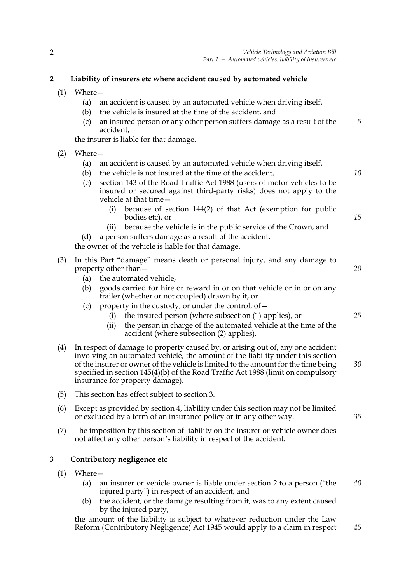## **2 Liability of insurers etc where accident caused by automated vehicle**

## $(1)$  Where –

- (a) an accident is caused by an automated vehicle when driving itself,
- (b) the vehicle is insured at the time of the accident, and
- (c) an insured person or any other person suffers damage as a result of the accident, *5*

the insurer is liable for that damage.

- (2) Where—
	- (a) an accident is caused by an automated vehicle when driving itself,
	- (b) the vehicle is not insured at the time of the accident,
	- (c) section 143 of the Road Traffic Act 1988 (users of motor vehicles to be insured or secured against third-party risks) does not apply to the vehicle at that time—
		- (i) because of section 144(2) of that Act (exemption for public bodies etc), or
		- (ii) because the vehicle is in the public service of the Crown, and
	- (d) a person suffers damage as a result of the accident,

the owner of the vehicle is liable for that damage.

- (3) In this Part "damage" means death or personal injury, and any damage to property other than—
	- (a) the automated vehicle,
	- (b) goods carried for hire or reward in or on that vehicle or in or on any trailer (whether or not coupled) drawn by it, or
	- (c) property in the custody, or under the control, of—
		- (i) the insured person (where subsection (1) applies), or
		- (ii) the person in charge of the automated vehicle at the time of the accident (where subsection (2) applies).
- (4) In respect of damage to property caused by, or arising out of, any one accident involving an automated vehicle, the amount of the liability under this section of the insurer or owner of the vehicle is limited to the amount for the time being specified in section 145(4)(b) of the Road Traffic Act 1988 (limit on compulsory insurance for property damage). *30*
- (5) This section has effect subject to section 3.
- (6) Except as provided by section 4, liability under this section may not be limited or excluded by a term of an insurance policy or in any other way.
- (7) The imposition by this section of liability on the insurer or vehicle owner does not affect any other person's liability in respect of the accident.

## **3 Contributory negligence etc**

- (1) Where—
	- (a) an insurer or vehicle owner is liable under section 2 to a person ("the injured party") in respect of an accident, and *40*
	- (b) the accident, or the damage resulting from it, was to any extent caused by the injured party,

the amount of the liability is subject to whatever reduction under the Law Reform (Contributory Negligence) Act 1945 would apply to a claim in respect *45*

*25*

*35*

*10*

*15*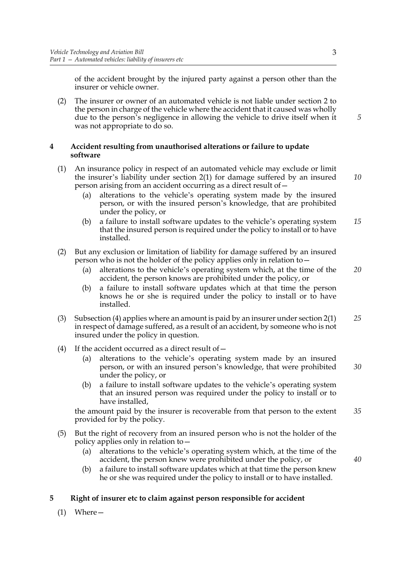of the accident brought by the injured party against a person other than the insurer or vehicle owner.

(2) The insurer or owner of an automated vehicle is not liable under section 2 to the person in charge of the vehicle where the accident that it caused was wholly due to the person's negligence in allowing the vehicle to drive itself when it was not appropriate to do so.

## **4 Accident resulting from unauthorised alterations or failure to update software**

- (1) An insurance policy in respect of an automated vehicle may exclude or limit the insurer's liability under section 2(1) for damage suffered by an insured person arising from an accident occurring as a direct result of— *10*
	- (a) alterations to the vehicle's operating system made by the insured person, or with the insured person's knowledge, that are prohibited under the policy, or
	- (b) a failure to install software updates to the vehicle's operating system that the insured person is required under the policy to install or to have installed. *15*
- (2) But any exclusion or limitation of liability for damage suffered by an insured person who is not the holder of the policy applies only in relation to—
	- (a) alterations to the vehicle's operating system which, at the time of the accident, the person knows are prohibited under the policy, or *20*
	- (b) a failure to install software updates which at that time the person knows he or she is required under the policy to install or to have installed.
- (3) Subsection (4) applies where an amount is paid by an insurer under section 2(1) in respect of damage suffered, as a result of an accident, by someone who is not insured under the policy in question. *25*
- (4) If the accident occurred as a direct result of  $-$ 
	- (a) alterations to the vehicle's operating system made by an insured person, or with an insured person's knowledge, that were prohibited under the policy, or *30*
	- (b) a failure to install software updates to the vehicle's operating system that an insured person was required under the policy to install or to have installed,

the amount paid by the insurer is recoverable from that person to the extent provided for by the policy. *35*

- (5) But the right of recovery from an insured person who is not the holder of the policy applies only in relation to—
	- (a) alterations to the vehicle's operating system which, at the time of the accident, the person knew were prohibited under the policy, or
	- (b) a failure to install software updates which at that time the person knew he or she was required under the policy to install or to have installed.

## **5 Right of insurer etc to claim against person responsible for accident**

(1) Where—

*5*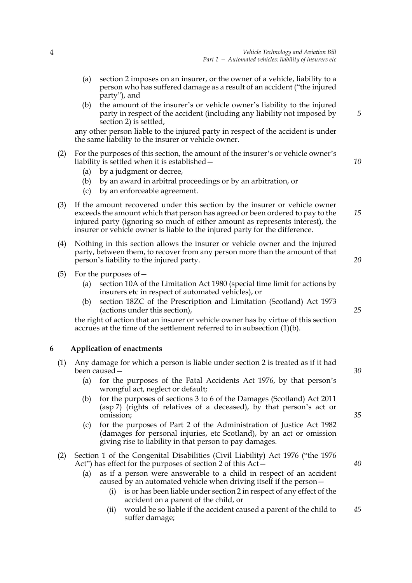- (a) section 2 imposes on an insurer, or the owner of a vehicle, liability to a person who has suffered damage as a result of an accident ("the injured party"), and
- (b) the amount of the insurer's or vehicle owner's liability to the injured party in respect of the accident (including any liability not imposed by section 2) is settled,

any other person liable to the injured party in respect of the accident is under the same liability to the insurer or vehicle owner.

- (2) For the purposes of this section, the amount of the insurer's or vehicle owner's liability is settled when it is established—
	- (a) by a judgment or decree,
	- (b) by an award in arbitral proceedings or by an arbitration, or
	- (c) by an enforceable agreement.
- (3) If the amount recovered under this section by the insurer or vehicle owner exceeds the amount which that person has agreed or been ordered to pay to the injured party (ignoring so much of either amount as represents interest), the insurer or vehicle owner is liable to the injured party for the difference. *15*
- (4) Nothing in this section allows the insurer or vehicle owner and the injured party, between them, to recover from any person more than the amount of that person's liability to the injured party.
- (5) For the purposes of—
	- (a) section 10A of the Limitation Act 1980 (special time limit for actions by insurers etc in respect of automated vehicles), or
	- (b) section 18ZC of the Prescription and Limitation (Scotland) Act 1973 (actions under this section),

the right of action that an insurer or vehicle owner has by virtue of this section accrues at the time of the settlement referred to in subsection (1)(b).

#### **6 Application of enactments**

- (1) Any damage for which a person is liable under section 2 is treated as if it had been caused—
	- (a) for the purposes of the Fatal Accidents Act 1976, by that person's wrongful act, neglect or default;
	- (b) for the purposes of sections 3 to 6 of the Damages (Scotland) Act 2011 (asp 7) (rights of relatives of a deceased), by that person's act or omission;
	- (c) for the purposes of Part 2 of the Administration of Justice Act 1982 (damages for personal injuries, etc Scotland), by an act or omission giving rise to liability in that person to pay damages.
- (2) Section 1 of the Congenital Disabilities (Civil Liability) Act 1976 ("the 1976 Act") has effect for the purposes of section 2 of this Act—
	- (a) as if a person were answerable to a child in respect of an accident caused by an automated vehicle when driving itself if the person—
		- (i) is or has been liable under section 2 in respect of any effect of the accident on a parent of the child, or
		- (ii) would be so liable if the accident caused a parent of the child to suffer damage; *45*

*25*

*20*

*35*

*30*

*5*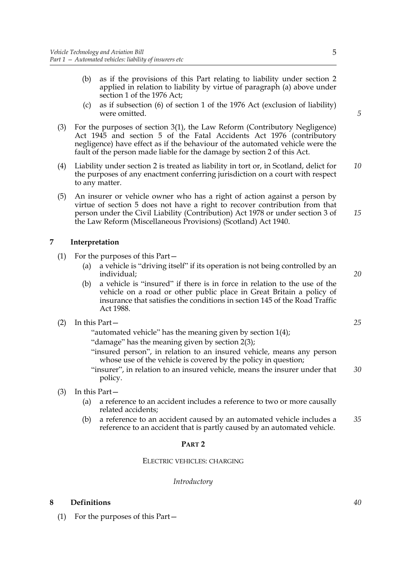- (b) as if the provisions of this Part relating to liability under section 2 applied in relation to liability by virtue of paragraph (a) above under section 1 of the 1976 Act;
- (c) as if subsection (6) of section 1 of the 1976 Act (exclusion of liability) were omitted.
- (3) For the purposes of section 3(1), the Law Reform (Contributory Negligence) Act 1945 and section 5 of the Fatal Accidents Act 1976 (contributory negligence) have effect as if the behaviour of the automated vehicle were the fault of the person made liable for the damage by section 2 of this Act.
- (4) Liability under section 2 is treated as liability in tort or, in Scotland, delict for the purposes of any enactment conferring jurisdiction on a court with respect to any matter. *10*
- (5) An insurer or vehicle owner who has a right of action against a person by virtue of section 5 does not have a right to recover contribution from that person under the Civil Liability (Contribution) Act 1978 or under section 3 of the Law Reform (Miscellaneous Provisions) (Scotland) Act 1940.

## **7 Interpretation**

- (1) For the purposes of this Part—
	- (a) a vehicle is "driving itself" if its operation is not being controlled by an individual;
	- (b) a vehicle is "insured" if there is in force in relation to the use of the vehicle on a road or other public place in Great Britain a policy of insurance that satisfies the conditions in section 145 of the Road Traffic Act 1988.

## (2) In this Part—

"automated vehicle" has the meaning given by section 1(4);

"damage" has the meaning given by section 2(3);

"insured person", in relation to an insured vehicle, means any person whose use of the vehicle is covered by the policy in question;

- "insurer", in relation to an insured vehicle, means the insurer under that policy. *30*
- (3) In this Part—
	- (a) a reference to an accident includes a reference to two or more causally related accidents;
	- (b) a reference to an accident caused by an automated vehicle includes a reference to an accident that is partly caused by an automated vehicle. *35*

#### **PART 2**

#### ELECTRIC VEHICLES: CHARGING

#### *Introductory*

## **8 Definitions**

(1) For the purposes of this Part—

5

*15*

*25*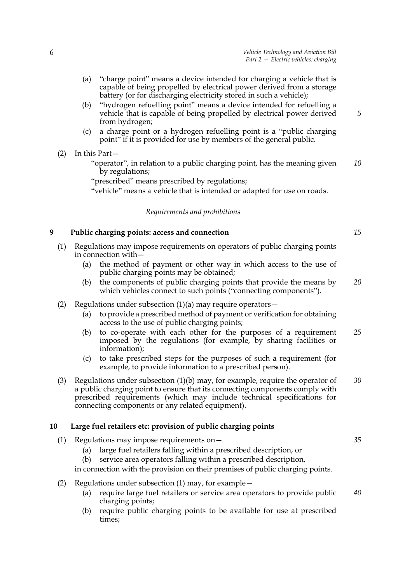- (a) "charge point" means a device intended for charging a vehicle that is capable of being propelled by electrical power derived from a storage battery (or for discharging electricity stored in such a vehicle);
- (b) "hydrogen refuelling point" means a device intended for refuelling a vehicle that is capable of being propelled by electrical power derived from hydrogen;
- (c) a charge point or a hydrogen refuelling point is a "public charging point" if it is provided for use by members of the general public.
- (2) In this Part—
	- "operator", in relation to a public charging point, has the meaning given by regulations; *10*
	- "prescribed" means prescribed by regulations;

"vehicle" means a vehicle that is intended or adapted for use on roads.

## *Requirements and prohibitions*

## **9 Public charging points: access and connection**

- (1) Regulations may impose requirements on operators of public charging points in connection with—
	- (a) the method of payment or other way in which access to the use of public charging points may be obtained;
	- (b) the components of public charging points that provide the means by which vehicles connect to such points ("connecting components"). *20*
- (2) Regulations under subsection  $(1)(a)$  may require operators
	- (a) to provide a prescribed method of payment or verification for obtaining access to the use of public charging points;
	- (b) to co-operate with each other for the purposes of a requirement imposed by the regulations (for example, by sharing facilities or information); *25*
	- (c) to take prescribed steps for the purposes of such a requirement (for example, to provide information to a prescribed person).
- (3) Regulations under subsection (1)(b) may, for example, require the operator of a public charging point to ensure that its connecting components comply with prescribed requirements (which may include technical specifications for connecting components or any related equipment). *30*

## **10 Large fuel retailers etc: provision of public charging points**

- (1) Regulations may impose requirements on—
	- (a) large fuel retailers falling within a prescribed description, or
	- (b) service area operators falling within a prescribed description,

## in connection with the provision on their premises of public charging points.

- (2) Regulations under subsection (1) may, for example—
	- (a) require large fuel retailers or service area operators to provide public charging points; *40*
	- (b) require public charging points to be available for use at prescribed times;

*15*

*35*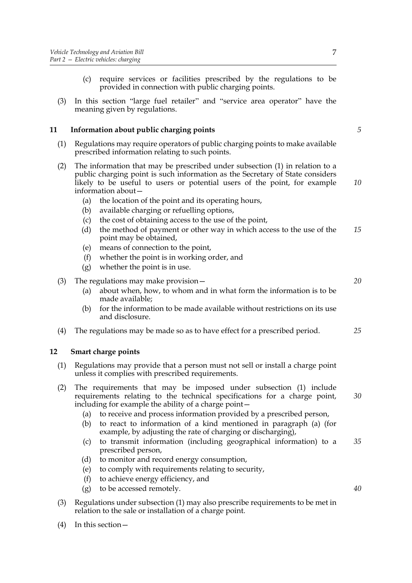- (c) require services or facilities prescribed by the regulations to be provided in connection with public charging points.
- (3) In this section "large fuel retailer" and "service area operator" have the meaning given by regulations.

## **11 Information about public charging points**

- (1) Regulations may require operators of public charging points to make available prescribed information relating to such points.
- (2) The information that may be prescribed under subsection (1) in relation to a public charging point is such information as the Secretary of State considers likely to be useful to users or potential users of the point, for example information about— *10*
	- (a) the location of the point and its operating hours,
	- (b) available charging or refuelling options,
	- (c) the cost of obtaining access to the use of the point,
	- (d) the method of payment or other way in which access to the use of the point may be obtained, *15*
	- (e) means of connection to the point,
	- (f) whether the point is in working order, and
	- (g) whether the point is in use.

## (3) The regulations may make provision—

- (a) about when, how, to whom and in what form the information is to be made available;
- (b) for the information to be made available without restrictions on its use and disclosure.
- (4) The regulations may be made so as to have effect for a prescribed period.

## **12 Smart charge points**

- (1) Regulations may provide that a person must not sell or install a charge point unless it complies with prescribed requirements.
- (2) The requirements that may be imposed under subsection (1) include requirements relating to the technical specifications for a charge point, including for example the ability of a charge point— *30*
	- (a) to receive and process information provided by a prescribed person,
	- (b) to react to information of a kind mentioned in paragraph (a) (for example, by adjusting the rate of charging or discharging),
	- (c) to transmit information (including geographical information) to a prescribed person, *35*
	- (d) to monitor and record energy consumption,
	- (e) to comply with requirements relating to security,
	- (f) to achieve energy efficiency, and
	- (g) to be accessed remotely.
- (3) Regulations under subsection (1) may also prescribe requirements to be met in relation to the sale or installation of a charge point.
- (4) In this section—

*5*

*25*

*40*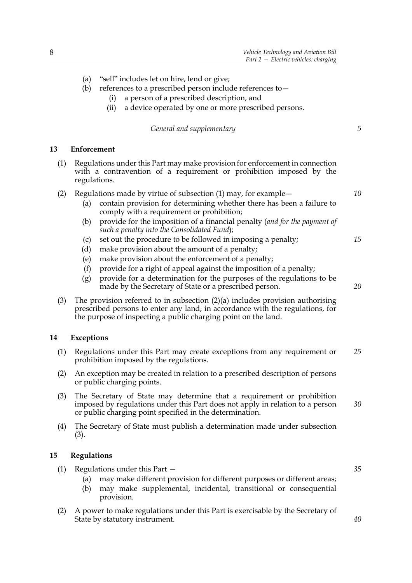- (a) "sell" includes let on hire, lend or give;
- (b) references to a prescribed person include references to  $-$ 
	- (i) a person of a prescribed description, and
	- (ii) a device operated by one or more prescribed persons.

*General and supplementary*

## **13 Enforcement**

- (1) Regulations under this Part may make provision for enforcement in connection with a contravention of a requirement or prohibition imposed by the regulations.
- (2) Regulations made by virtue of subsection (1) may, for example—
	- (a) contain provision for determining whether there has been a failure to comply with a requirement or prohibition;
	- (b) provide for the imposition of a financial penalty (*and for the payment of such a penalty into the Consolidated Fund*);
	- (c) set out the procedure to be followed in imposing a penalty; *15*
	- (d) make provision about the amount of a penalty;
	- (e) make provision about the enforcement of a penalty;
	- (f) provide for a right of appeal against the imposition of a penalty;
	- (g) provide for a determination for the purposes of the regulations to be made by the Secretary of State or a prescribed person.
- (3) The provision referred to in subsection (2)(a) includes provision authorising prescribed persons to enter any land, in accordance with the regulations, for the purpose of inspecting a public charging point on the land.

## **14 Exceptions**

- (1) Regulations under this Part may create exceptions from any requirement or prohibition imposed by the regulations. *25*
- (2) An exception may be created in relation to a prescribed description of persons or public charging points.
- (3) The Secretary of State may determine that a requirement or prohibition imposed by regulations under this Part does not apply in relation to a person or public charging point specified in the determination. *30*
- (4) The Secretary of State must publish a determination made under subsection (3).

#### **15 Regulations**

(1) Regulations under this Part —

*35*

*5*

*10*

*20*

- (a) may make different provision for different purposes or different areas;
- (b) may make supplemental, incidental, transitional or consequential provision.
- (2) A power to make regulations under this Part is exercisable by the Secretary of State by statutory instrument.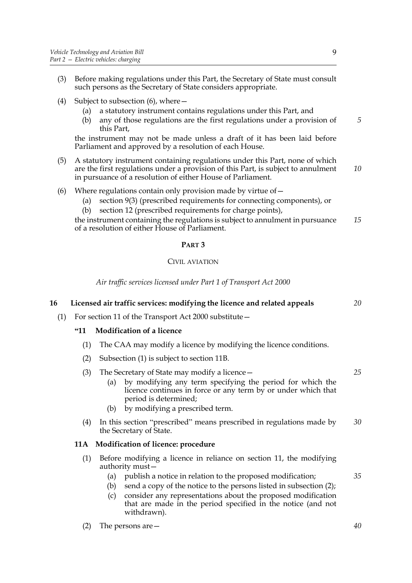- (3) Before making regulations under this Part, the Secretary of State must consult such persons as the Secretary of State considers appropriate.
- (4) Subject to subsection  $(6)$ , where  $-$ 
	- (a) a statutory instrument contains regulations under this Part, and
	- (b) any of those regulations are the first regulations under a provision of this Part,

the instrument may not be made unless a draft of it has been laid before Parliament and approved by a resolution of each House.

- (5) A statutory instrument containing regulations under this Part, none of which are the first regulations under a provision of this Part, is subject to annulment in pursuance of a resolution of either House of Parliament. *10*
- (6) Where regulations contain only provision made by virtue of—
	- (a) section 9(3) (prescribed requirements for connecting components), or
	- (b) section 12 (prescribed requirements for charge points),

the instrument containing the regulations is subject to annulment in pursuance of a resolution of either House of Parliament. *15*

#### **PART 3**

#### CIVIL AVIATION

*Air traffic services licensed under Part 1 of Transport Act 2000*

## **16 Licensed air traffic services: modifying the licence and related appeals**

(1) For section 11 of the Transport Act 2000 substitute—

## **"11 Modification of a licence**

- (1) The CAA may modify a licence by modifying the licence conditions.
- (2) Subsection (1) is subject to section 11B.

#### (3) The Secretary of State may modify a licence— *25*

- (a) by modifying any term specifying the period for which the licence continues in force or any term by or under which that period is determined;
- (b) by modifying a prescribed term.
- (4) In this section "prescribed" means prescribed in regulations made by the Secretary of State. *30*

## **11A Modification of licence: procedure**

- (1) Before modifying a licence in reliance on section 11, the modifying authority must—
	- (a) publish a notice in relation to the proposed modification;
	- (b) send a copy of the notice to the persons listed in subsection (2);
	- (c) consider any representations about the proposed modification that are made in the period specified in the notice (and not withdrawn).
- (2) The persons are—

*40*

*35*

9

*5*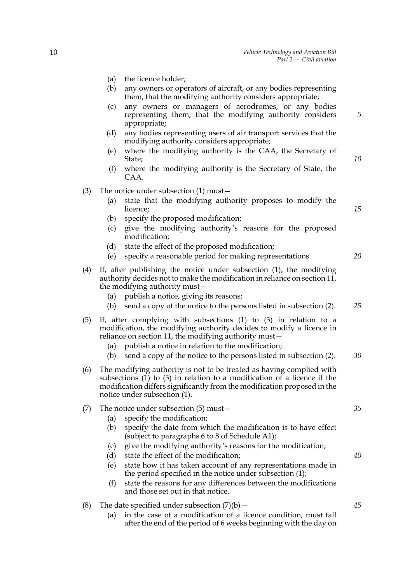- (a) the licence holder;
- (b) any owners or operators of aircraft, or any bodies representing them, that the modifying authority considers appropriate;
- (c) any owners or managers of aerodromes, or any bodies representing them, that the modifying authority considers appropriate;
- (d) any bodies representing users of air transport services that the modifying authority considers appropriate;
- (e) where the modifying authority is the CAA, the Secretary of State;
- (f) where the modifying authority is the Secretary of State, the CAA.
- (3) The notice under subsection (1) must—
	- (a) state that the modifying authority proposes to modify the licence;
	- (b) specify the proposed modification;
	- (c) give the modifying authority's reasons for the proposed modification;
	- (d) state the effect of the proposed modification;
	- (e) specify a reasonable period for making representations.
- (4) If, after publishing the notice under subsection (1), the modifying authority decides not to make the modification in reliance on section 11, the modifying authority must—
	- (a) publish a notice, giving its reasons;
	- (b) send a copy of the notice to the persons listed in subsection (2). *25*
- (5) If, after complying with subsections (1) to (3) in relation to a modification, the modifying authority decides to modify a licence in reliance on section 11, the modifying authority must—
	- (a) publish a notice in relation to the modification;
	- (b) send a copy of the notice to the persons listed in subsection (2). *30*
- (6) The modifying authority is not to be treated as having complied with subsections  $(1)$  to  $(3)$  in relation to a modification of a licence if the modification differs significantly from the modification proposed in the notice under subsection (1).

| (7) | The notice under subsection $(5)$ must $-$ |  |  |
|-----|--------------------------------------------|--|--|
|-----|--------------------------------------------|--|--|

- (a) specify the modification;
- (b) specify the date from which the modification is to have effect (subject to paragraphs 6 to 8 of Schedule A1);
- (c) give the modifying authority's reasons for the modification;
- (d) state the effect of the modification;
- (e) state how it has taken account of any representations made in the period specified in the notice under subsection (1);
- (f) state the reasons for any differences between the modifications and those set out in that notice.
- (8) The date specified under subsection  $(7)(b)$ 
	- (a) in the case of a modification of a licence condition, must fall after the end of the period of 6 weeks beginning with the day on

*35*

*5*

*10*

*15*

*20*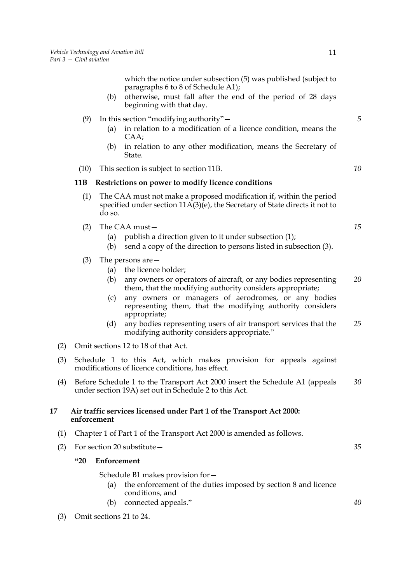which the notice under subsection (5) was published (subject to paragraphs 6 to 8 of Schedule A1);

(b) otherwise, must fall after the end of the period of 28 days beginning with that day.

## (9) In this section "modifying authority"—

- (a) in relation to a modification of a licence condition, means the CAA;
- (b) in relation to any other modification, means the Secretary of State.
- (10) This section is subject to section 11B.

## **11B Restrictions on power to modify licence conditions**

- (1) The CAA must not make a proposed modification if, within the period specified under section  $11\overline{A(3)}$ (e), the Secretary of State directs it not to do so.
- (2) The CAA must—
	- (a) publish a direction given to it under subsection (1);
	- (b) send a copy of the direction to persons listed in subsection (3).
- (3) The persons are—
	- (a) the licence holder;
	- (b) any owners or operators of aircraft, or any bodies representing them, that the modifying authority considers appropriate; *20*
	- (c) any owners or managers of aerodromes, or any bodies representing them, that the modifying authority considers appropriate;
	- (d) any bodies representing users of air transport services that the modifying authority considers appropriate." *25*
- (2) Omit sections 12 to 18 of that Act.
- (3) Schedule 1 to this Act, which makes provision for appeals against modifications of licence conditions, has effect.
- (4) Before Schedule 1 to the Transport Act 2000 insert the Schedule A1 (appeals under section 19A) set out in Schedule 2 to this Act. *30*

## **17 Air traffic services licensed under Part 1 of the Transport Act 2000: enforcement**

- (1) Chapter 1 of Part 1 of the Transport Act 2000 is amended as follows.
- (2) For section 20 substitute—

## **"20 Enforcement**

Schedule B1 makes provision for—

- (a) the enforcement of the duties imposed by section 8 and licence conditions, and
- (b) connected appeals."
- (3) Omit sections 21 to 24.

*10*

*5*

*15*

*35*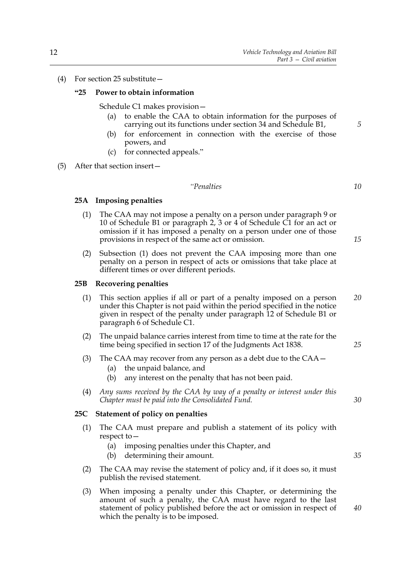(4) For section 25 substitute—

## **"25 Power to obtain information**

Schedule C1 makes provision—

- (a) to enable the CAA to obtain information for the purposes of carrying out its functions under section 34 and Schedule B1,
- (b) for enforcement in connection with the exercise of those powers, and
- (c) for connected appeals."
- (5) After that section insert—

#### *"Penalties*

*10*

*5*

## **25A Imposing penalties**

- (1) The CAA may not impose a penalty on a person under paragraph 9 or 10 of Schedule B1 or paragraph 2, 3 or 4 of Schedule C1 for an act or omission if it has imposed a penalty on a person under one of those provisions in respect of the same act or omission.
- (2) Subsection (1) does not prevent the CAA imposing more than one penalty on a person in respect of acts or omissions that take place at different times or over different periods.

#### **25B Recovering penalties**

- (1) This section applies if all or part of a penalty imposed on a person under this Chapter is not paid within the period specified in the notice given in respect of the penalty under paragraph 12 of Schedule B1 or paragraph 6 of Schedule C1. *20*
- (2) The unpaid balance carries interest from time to time at the rate for the time being specified in section 17 of the Judgments Act 1838.
- (3) The CAA may recover from any person as a debt due to the CAA—
	- (a) the unpaid balance, and
	- (b) any interest on the penalty that has not been paid.
- (4) *Any sums received by the CAA by way of a penalty or interest under this Chapter must be paid into the Consolidated Fund.*

#### **25C Statement of policy on penalties**

- (1) The CAA must prepare and publish a statement of its policy with respect to—
	- (a) imposing penalties under this Chapter, and
	- (b) determining their amount.
- (2) The CAA may revise the statement of policy and, if it does so, it must publish the revised statement.
- (3) When imposing a penalty under this Chapter, or determining the amount of such a penalty, the CAA must have regard to the last statement of policy published before the act or omission in respect of which the penalty is to be imposed.

*15*

*30*

*35*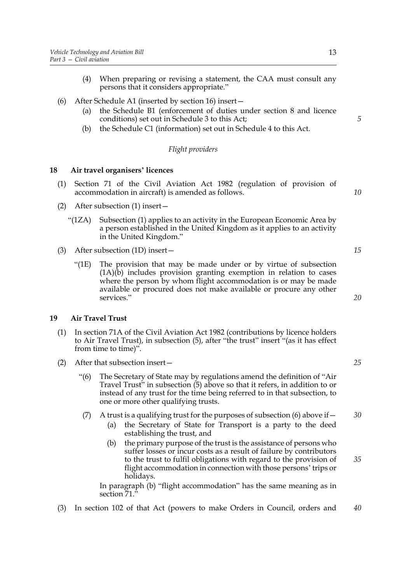- (4) When preparing or revising a statement, the CAA must consult any persons that it considers appropriate."
- (6) After Schedule A1 (inserted by section 16) insert—
	- (a) the Schedule B1 (enforcement of duties under section 8 and licence conditions) set out in Schedule 3 to this Act;
	- (b) the Schedule C1 (information) set out in Schedule 4 to this Act.

#### *Flight providers*

### **18 Air travel organisers' licences**

- (1) Section 71 of the Civil Aviation Act 1982 (regulation of provision of accommodation in aircraft) is amended as follows.
- (2) After subsection (1) insert—
	- "(1ZA) Subsection (1) applies to an activity in the European Economic Area by a person established in the United Kingdom as it applies to an activity in the United Kingdom."
- (3) After subsection (1D) insert—
	- "(1E) The provision that may be made under or by virtue of subsection (1A)(b) includes provision granting exemption in relation to cases where the person by whom flight accommodation is or may be made available or procured does not make available or procure any other services."

## **19 Air Travel Trust**

- (1) In section 71A of the Civil Aviation Act 1982 (contributions by licence holders to Air Travel Trust), in subsection (5), after "the trust" insert "(as it has effect from time to time)".
- (2) After that subsection insert—
	- "(6) The Secretary of State may by regulations amend the definition of "Air Travel Trust" in subsection (5) above so that it refers, in addition to or instead of any trust for the time being referred to in that subsection, to one or more other qualifying trusts.
	- (7) A trust is a qualifying trust for the purposes of subsection (6) above if  $-$ *30*
		- (a) the Secretary of State for Transport is a party to the deed establishing the trust, and
		- (b) the primary purpose of the trust is the assistance of persons who suffer losses or incur costs as a result of failure by contributors to the trust to fulfil obligations with regard to the provision of flight accommodation in connection with those persons' trips or holidays.

In paragraph (b) "flight accommodation" has the same meaning as in section  $71$ ."

(3) In section 102 of that Act (powers to make Orders in Council, orders and *40*

*5*

*10*

*15*

*20*

*25*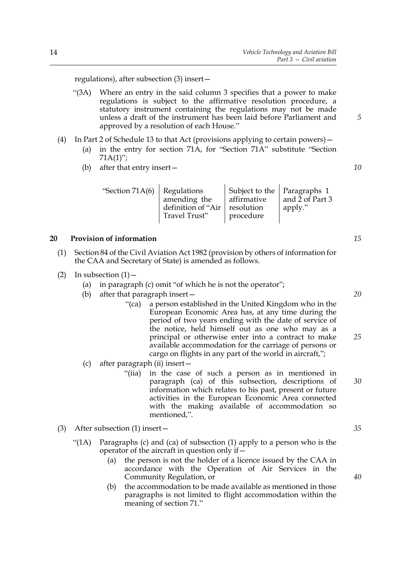regulations), after subsection (3) insert—

- "(3A) Where an entry in the said column 3 specifies that a power to make regulations is subject to the affirmative resolution procedure, a statutory instrument containing the regulations may not be made unless a draft of the instrument has been laid before Parliament and approved by a resolution of each House."
- (4) In Part 2 of Schedule 13 to that Act (provisions applying to certain powers)—
	- (a) in the entry for section 71A, for "Section 71A" substitute "Section 71A(1)";
	- (b) after that entry insert—

| "Section 71A(6)   Regulations | amending the<br>definition of "Air   resolution<br>Travel Trust" | Subject to the   Paragraphs 1<br>affirmative<br>procedure | $\vert$ and $\bar{2}$ of Part 3<br>apply." |
|-------------------------------|------------------------------------------------------------------|-----------------------------------------------------------|--------------------------------------------|
|-------------------------------|------------------------------------------------------------------|-----------------------------------------------------------|--------------------------------------------|

## **20 Provision of information**

- (1) Section 84 of the Civil Aviation Act 1982 (provision by others of information for the CAA and Secretary of State) is amended as follows.
- (2) In subsection  $(1)$ 
	- (a) in paragraph (c) omit "of which he is not the operator";
	- (b) after that paragraph insert—
		- "(ca) a person established in the United Kingdom who in the European Economic Area has, at any time during the period of two years ending with the date of service of the notice, held himself out as one who may as a principal or otherwise enter into a contract to make available accommodation for the carriage of persons or cargo on flights in any part of the world in aircraft,";
	- (c) after paragraph (ii) insert—
		- "(iia) in the case of such a person as in mentioned in paragraph (ca) of this subsection, descriptions of information which relates to his past, present or future activities in the European Economic Area connected with the making available of accommodation so mentioned,". *30*
- (3) After subsection (1) insert—
	- "(1A) Paragraphs (c) and (ca) of subsection (1) apply to a person who is the operator of the aircraft in question only if—
		- (a) the person is not the holder of a licence issued by the CAA in accordance with the Operation of Air Services in the Community Regulation, or
		- (b) the accommodation to be made available as mentioned in those paragraphs is not limited to flight accommodation within the meaning of section 71."

*15*

*20*

*5*

*10*

*25*

*40*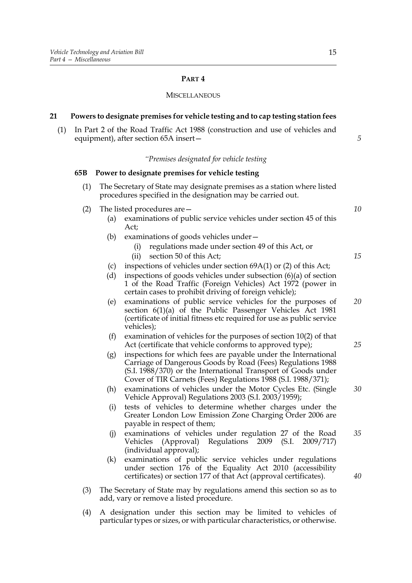## **PART 4**

#### **MISCELLANEOUS**

### **21 Powers to designate premises for vehicle testing and to cap testing station fees** (1) In Part 2 of the Road Traffic Act 1988 (construction and use of vehicles and equipment), after section 65A insert— *"Premises designated for vehicle testing* **65B Power to designate premises for vehicle testing** (1) The Secretary of State may designate premises as a station where listed procedures specified in the designation may be carried out. (2) The listed procedures are— (a) examinations of public service vehicles under section 45 of this Act; (b) examinations of goods vehicles under— (i) regulations made under section 49 of this Act, or (ii) section 50 of this Act; (c) inspections of vehicles under section 69A(1) or (2) of this Act; (d) inspections of goods vehicles under subsection (6)(a) of section 1 of the Road Traffic (Foreign Vehicles) Act 1972 (power in certain cases to prohibit driving of foreign vehicle); (e) examinations of public service vehicles for the purposes of section  $6(1)(a)$  of the Public Passenger Vehicles Act 1981 (certificate of initial fitness etc required for use as public service vehicles); (f) examination of vehicles for the purposes of section 10(2) of that Act (certificate that vehicle conforms to approved type); (g) inspections for which fees are payable under the International Carriage of Dangerous Goods by Road (Fees) Regulations 1988 (S.I. 1988/370) or the International Transport of Goods under Cover of TIR Carnets (Fees) Regulations 1988 (S.I. 1988/371); (h) examinations of vehicles under the Motor Cycles Etc. (Single Vehicle Approval) Regulations 2003 (S.I. 2003/1959); (i) tests of vehicles to determine whether charges under the Greater London Low Emission Zone Charging Order 2006 are payable in respect of them; (j) examinations of vehicles under regulation 27 of the Road Vehicles (Approval) Regulations 2009 (S.I. 2009/717) (individual approval); (k) examinations of public service vehicles under regulations under section 176 of the Equality Act 2010 (accessibility certificates) or section 177 of that Act (approval certificates). (3) The Secretary of State may by regulations amend this section so as to add, vary or remove a listed procedure. (4) A designation under this section may be limited to vehicles of *5 10 15 20 25 30 35 40*

particular types or sizes, or with particular characteristics, or otherwise.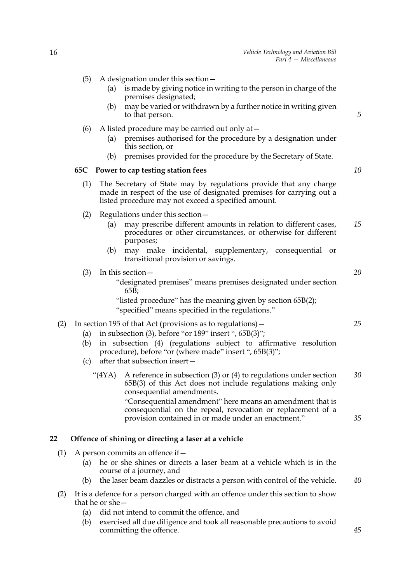*45*

|     | (5)        | A designation under this section -<br>is made by giving notice in writing to the person in charge of the<br>(a)<br>premises designated;                                                          |    |  |  |  |  |
|-----|------------|--------------------------------------------------------------------------------------------------------------------------------------------------------------------------------------------------|----|--|--|--|--|
|     |            | may be varied or withdrawn by a further notice in writing given<br>(b)<br>to that person.                                                                                                        | 5  |  |  |  |  |
|     | (6)        | A listed procedure may be carried out only at -<br>premises authorised for the procedure by a designation under<br>(a)<br>this section, or                                                       |    |  |  |  |  |
|     |            | premises provided for the procedure by the Secretary of State.<br>(b)                                                                                                                            |    |  |  |  |  |
|     | 65C        | Power to cap testing station fees                                                                                                                                                                | 10 |  |  |  |  |
|     | (1)        | The Secretary of State may by regulations provide that any charge<br>made in respect of the use of designated premises for carrying out a<br>listed procedure may not exceed a specified amount. |    |  |  |  |  |
|     | (2)        | Regulations under this section -                                                                                                                                                                 |    |  |  |  |  |
|     |            | may prescribe different amounts in relation to different cases,<br>(a)<br>procedures or other circumstances, or otherwise for different<br>purposes;                                             | 15 |  |  |  |  |
|     |            | may make incidental, supplementary, consequential<br>(b)<br>or<br>transitional provision or savings.                                                                                             |    |  |  |  |  |
|     | (3)        | In this section -                                                                                                                                                                                | 20 |  |  |  |  |
|     |            | "designated premises" means premises designated under section<br>65B;                                                                                                                            |    |  |  |  |  |
|     |            | "listed procedure" has the meaning given by section 65B(2);<br>"specified" means specified in the regulations."                                                                                  |    |  |  |  |  |
| (2) |            | In section 195 of that Act (provisions as to regulations) –                                                                                                                                      | 25 |  |  |  |  |
|     | (a)<br>(b) | in subsection $(3)$ , before "or 189" insert ", $65B(3)$ ";<br>in subsection (4) (regulations subject to affirmative resolution                                                                  |    |  |  |  |  |
|     |            | procedure), before "or (where made" insert ", 65B(3)";                                                                                                                                           |    |  |  |  |  |
|     | (c)        | after that subsection insert-                                                                                                                                                                    |    |  |  |  |  |
|     |            | A reference in subsection $(3)$ or $(4)$ to regulations under section<br>"(4YA)<br>65B(3) of this Act does not include regulations making only<br>consequential amendments.                      | 30 |  |  |  |  |
|     |            | "Consequential amendment" here means an amendment that is                                                                                                                                        |    |  |  |  |  |
|     |            | consequential on the repeal, revocation or replacement of a<br>provision contained in or made under an enactment."                                                                               | 35 |  |  |  |  |
| 22  |            | Offence of shining or directing a laser at a vehicle                                                                                                                                             |    |  |  |  |  |
| (1) |            | A person commits an offence if –                                                                                                                                                                 |    |  |  |  |  |
|     | (a)        | he or she shines or directs a laser beam at a vehicle which is in the<br>course of a journey, and                                                                                                |    |  |  |  |  |
|     | (b)        | the laser beam dazzles or distracts a person with control of the vehicle.                                                                                                                        | 40 |  |  |  |  |
| (2) |            | It is a defence for a person charged with an offence under this section to show<br>that he or $she-$                                                                                             |    |  |  |  |  |
|     | (a)        | did not intend to commit the offence, and<br>ومومسالم بامعط ارميم معجود نانار مبيار للمراسمة                                                                                                     |    |  |  |  |  |
|     |            |                                                                                                                                                                                                  |    |  |  |  |  |

(b) exercised all due diligence and took all reasonable precautions to avoid committing the offence.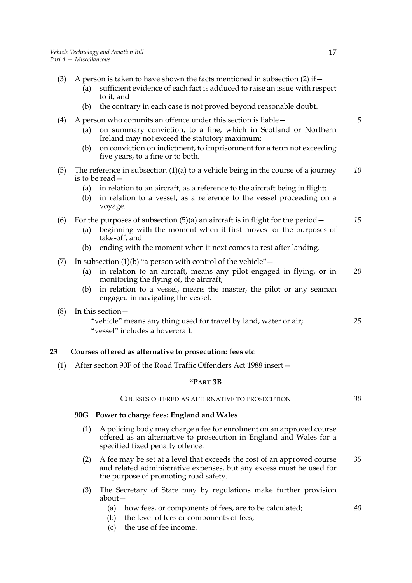- (3) A person is taken to have shown the facts mentioned in subsection (2) if  $-$ 
	- (a) sufficient evidence of each fact is adduced to raise an issue with respect to it, and
	- (b) the contrary in each case is not proved beyond reasonable doubt.
- (4) A person who commits an offence under this section is liable—
	- (a) on summary conviction, to a fine, which in Scotland or Northern Ireland may not exceed the statutory maximum;
	- (b) on conviction on indictment, to imprisonment for a term not exceeding five years, to a fine or to both.
- (5) The reference in subsection  $(1)(a)$  to a vehicle being in the course of a journey is to be read— *10*
	- (a) in relation to an aircraft, as a reference to the aircraft being in flight;
	- (b) in relation to a vessel, as a reference to the vessel proceeding on a voyage.
- (6) For the purposes of subsection  $(5)(a)$  an aircraft is in flight for the period
	- (a) beginning with the moment when it first moves for the purposes of take-off, and
		- (b) ending with the moment when it next comes to rest after landing.
- (7) In subsection (1)(b) "a person with control of the vehicle"  $-$ 
	- (a) in relation to an aircraft, means any pilot engaged in flying, or in monitoring the flying of, the aircraft; *20*
	- (b) in relation to a vessel, means the master, the pilot or any seaman engaged in navigating the vessel.
- (8) In this section—

"vehicle" means any thing used for travel by land, water or air; "vessel" includes a hovercraft. *25*

## **23 Courses offered as alternative to prosecution: fees etc**

(1) After section 90F of the Road Traffic Offenders Act 1988 insert—

## **"PART 3B**

#### COURSES OFFERED AS ALTERNATIVE TO PROSECUTION

## **90G Power to charge fees: England and Wales**

- (1) A policing body may charge a fee for enrolment on an approved course offered as an alternative to prosecution in England and Wales for a specified fixed penalty offence.
- (2) A fee may be set at a level that exceeds the cost of an approved course and related administrative expenses, but any excess must be used for the purpose of promoting road safety. *35*
- (3) The Secretary of State may by regulations make further provision about—
	- (a) how fees, or components of fees, are to be calculated;
	- (b) the level of fees or components of fees;
	- (c) the use of fee income.

*5*

*15*

*30*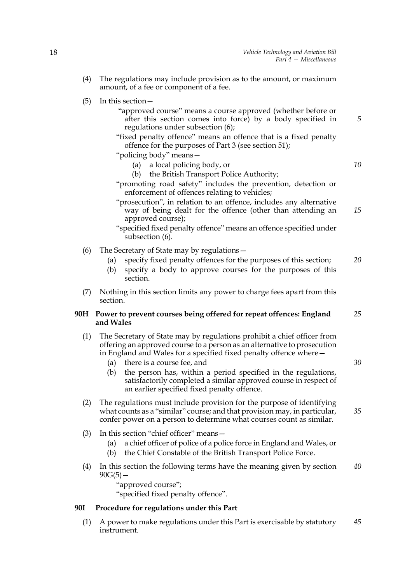(4) The regulations may include provision as to the amount, or maximum amount, of a fee or component of a fee. (5) In this section— "approved course" means a course approved (whether before or after this section comes into force) by a body specified in regulations under subsection (6); "fixed penalty offence" means an offence that is a fixed penalty offence for the purposes of Part 3 (see section 51); "policing body" means— (a) a local policing body, or (b) the British Transport Police Authority; "promoting road safety" includes the prevention, detection or enforcement of offences relating to vehicles; "prosecution", in relation to an offence, includes any alternative way of being dealt for the offence (other than attending an approved course); "specified fixed penalty offence" means an offence specified under subsection (6). (6) The Secretary of State may by regulations— (a) specify fixed penalty offences for the purposes of this section; (b) specify a body to approve courses for the purposes of this section. (7) Nothing in this section limits any power to charge fees apart from this section. **90H Power to prevent courses being offered for repeat offences: England and Wales** (1) The Secretary of State may by regulations prohibit a chief officer from offering an approved course to a person as an alternative to prosecution in England and Wales for a specified fixed penalty offence where— (a) there is a course fee, and (b) the person has, within a period specified in the regulations, satisfactorily completed a similar approved course in respect of an earlier specified fixed penalty offence. (2) The regulations must include provision for the purpose of identifying what counts as a "similar" course; and that provision may, in particular, confer power on a person to determine what courses count as similar. (3) In this section "chief officer" means— (a) a chief officer of police of a police force in England and Wales, or (b) the Chief Constable of the British Transport Police Force. (4) In this section the following terms have the meaning given by section  $90G(5)$  — "approved course"; *5 10 15 20 25 30 35 40*

"specified fixed penalty offence".

## **90I Procedure for regulations under this Part**

(1) A power to make regulations under this Part is exercisable by statutory instrument. *45*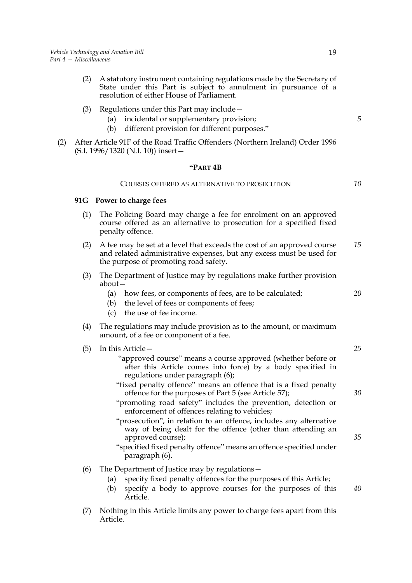- (2) A statutory instrument containing regulations made by the Secretary of State under this Part is subject to annulment in pursuance of a resolution of either House of Parliament.
- (3) Regulations under this Part may include—
	- (a) incidental or supplementary provision;
	- (b) different provision for different purposes."
- (2) After Article 91F of the Road Traffic Offenders (Northern Ireland) Order 1996 (S.I. 1996/1320 (N.I. 10)) insert—

#### **"PART 4B**

#### COURSES OFFERED AS ALTERNATIVE TO PROSECUTION

*10*

*20*

*25*

*30*

*35*

*5*

## **91G Power to charge fees**

- (1) The Policing Board may charge a fee for enrolment on an approved course offered as an alternative to prosecution for a specified fixed penalty offence.
- (2) A fee may be set at a level that exceeds the cost of an approved course and related administrative expenses, but any excess must be used for the purpose of promoting road safety. *15*
- (3) The Department of Justice may by regulations make further provision about—
	- (a) how fees, or components of fees, are to be calculated;
	- (b) the level of fees or components of fees;
	- (c) the use of fee income.
- (4) The regulations may include provision as to the amount, or maximum amount, of a fee or component of a fee.
- (5) In this Article—
	- "approved course" means a course approved (whether before or after this Article comes into force) by a body specified in regulations under paragraph (6);
	- "fixed penalty offence" means an offence that is a fixed penalty offence for the purposes of Part 5 (see Article 57);
	- "promoting road safety" includes the prevention, detection or enforcement of offences relating to vehicles;
	- "prosecution", in relation to an offence, includes any alternative way of being dealt for the offence (other than attending an approved course);
	- "specified fixed penalty offence" means an offence specified under paragraph (6).
- (6) The Department of Justice may by regulations—
	- (a) specify fixed penalty offences for the purposes of this Article;
	- (b) specify a body to approve courses for the purposes of this Article. *40*
- (7) Nothing in this Article limits any power to charge fees apart from this Article.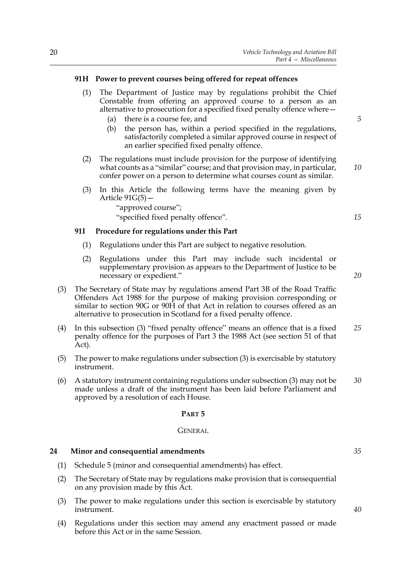## **91H Power to prevent courses being offered for repeat offences**

- (a) there is a course fee, and
- (b) the person has, within a period specified in the regulations, satisfactorily completed a similar approved course in respect of an earlier specified fixed penalty offence.
- (2) The regulations must include provision for the purpose of identifying what counts as a "similar" course; and that provision may, in particular, confer power on a person to determine what courses count as similar.
- (3) In this Article the following terms have the meaning given by Article  $91G(5)$  –

"approved course"; "specified fixed penalty offence".

## **91I Procedure for regulations under this Part**

- (1) Regulations under this Part are subject to negative resolution.
- (2) Regulations under this Part may include such incidental or supplementary provision as appears to the Department of Justice to be necessary or expedient."
- (3) The Secretary of State may by regulations amend Part 3B of the Road Traffic Offenders Act 1988 for the purpose of making provision corresponding or similar to section 90G or 90H of that Act in relation to courses offered as an alternative to prosecution in Scotland for a fixed penalty offence.
- (4) In this subsection (3) "fixed penalty offence" means an offence that is a fixed penalty offence for the purposes of Part 3 the 1988 Act (see section 51 of that Act). *25*
- (5) The power to make regulations under subsection (3) is exercisable by statutory instrument.
- (6) A statutory instrument containing regulations under subsection (3) may not be made unless a draft of the instrument has been laid before Parliament and approved by a resolution of each House. *30*

#### **PART 5**

#### GENERAL

#### **24 Minor and consequential amendments**

- (1) Schedule 5 (minor and consequential amendments) has effect.
- (2) The Secretary of State may by regulations make provision that is consequential on any provision made by this Act.
- (3) The power to make regulations under this section is exercisable by statutory instrument.
- (4) Regulations under this section may amend any enactment passed or made before this Act or in the same Session.

*20*

*5*

*10*

*15*

*35*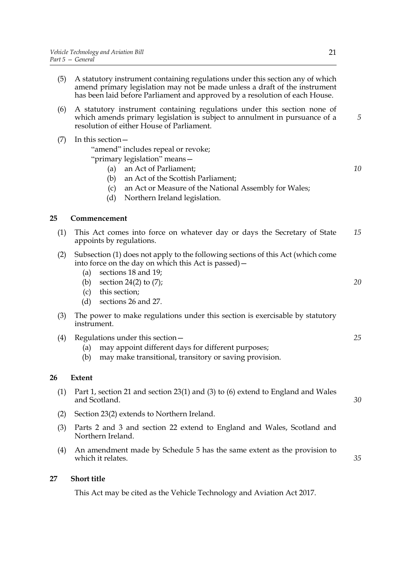(5) A statutory instrument containing regulations under this section any of which amend primary legislation may not be made unless a draft of the instrument has been laid before Parliament and approved by a resolution of each House. (6) A statutory instrument containing regulations under this section none of which amends primary legislation is subject to annulment in pursuance of a resolution of either House of Parliament. (7) In this section— "amend" includes repeal or revoke; "primary legislation" means— (a) an Act of Parliament; (b) an Act of the Scottish Parliament; (c) an Act or Measure of the National Assembly for Wales; (d) Northern Ireland legislation. **25 Commencement** (1) This Act comes into force on whatever day or days the Secretary of State appoints by regulations. (2) Subsection (1) does not apply to the following sections of this Act (which come into force on the day on which this Act is passed)— (a) sections 18 and 19; (b) section 24(2) to  $(7)$ ; (c) this section; (d) sections 26 and 27. (3) The power to make regulations under this section is exercisable by statutory instrument. (4) Regulations under this section— (a) may appoint different days for different purposes; (b) may make transitional, transitory or saving provision. **26 Extent** (1) Part 1, section 21 and section 23(1) and (3) to (6) extend to England and Wales and Scotland. (2) Section 23(2) extends to Northern Ireland. (3) Parts 2 and 3 and section 22 extend to England and Wales, Scotland and Northern Ireland. (4) An amendment made by Schedule 5 has the same extent as the provision to which it relates. *5 10 15 20 25 30 35*

## **27 Short title**

This Act may be cited as the Vehicle Technology and Aviation Act 2017.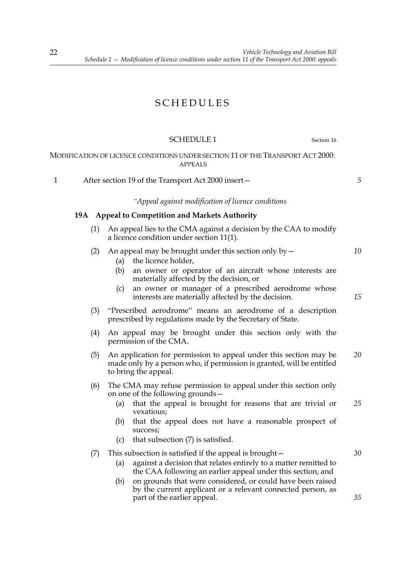## SCHEDULES

## SCHEDULE 1 Section 16

## MODIFICATION OF LICENCE CONDITIONS UNDER SECTION 11 OF THE TRANSPORT ACT 2000: APPEALS

1 After section 19 of the Transport Act 2000 insert—

*5*

#### *"Appeal against modification of licence conditions*

## **19A Appeal to Competition and Markets Authority**

- (1) An appeal lies to the CMA against a decision by the CAA to modify a licence condition under section 11(1).
- (2) An appeal may be brought under this section only by  $-$ 
	- (a) the licence holder,
	- (b) an owner or operator of an aircraft whose interests are materially affected by the decision, or
	- (c) an owner or manager of a prescribed aerodrome whose interests are materially affected by the decision.
- (3) "Prescribed aerodrome" means an aerodrome of a description prescribed by regulations made by the Secretary of State.
- (4) An appeal may be brought under this section only with the permission of the CMA.
- (5) An application for permission to appeal under this section may be made only by a person who, if permission is granted, will be entitled to bring the appeal. *20*
- (6) The CMA may refuse permission to appeal under this section only on one of the following grounds—
	- (a) that the appeal is brought for reasons that are trivial or vexatious; *25*
	- (b) that the appeal does not have a reasonable prospect of success;
	- (c) that subsection (7) is satisfied.

#### (7) This subsection is satisfied if the appeal is brought—

- (a) against a decision that relates entirely to a matter remitted to the CAA following an earlier appeal under this section, and
- (b) on grounds that were considered, or could have been raised by the current applicant or a relevant connected person, as part of the earlier appeal.

22

*15*

*30*

*35*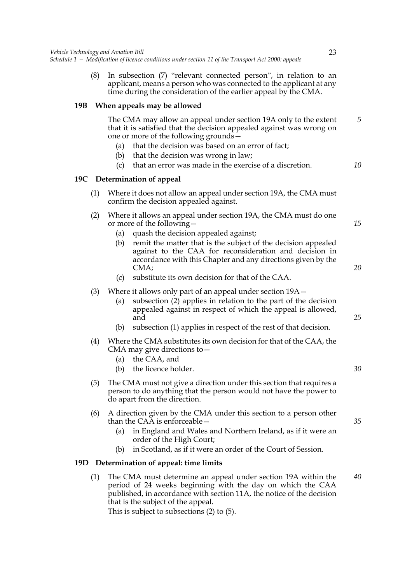(8) In subsection (7) "relevant connected person", in relation to an applicant, means a person who was connected to the applicant at any time during the consideration of the earlier appeal by the CMA.

## **19B When appeals may be allowed**

 The CMA may allow an appeal under section 19A only to the extent that it is satisfied that the decision appealed against was wrong on one or more of the following grounds—

- (a) that the decision was based on an error of fact;
- (b) that the decision was wrong in law;
- (c) that an error was made in the exercise of a discretion.

## **19C Determination of appeal**

- (1) Where it does not allow an appeal under section 19A, the CMA must confirm the decision appealed against.
- (2) Where it allows an appeal under section 19A, the CMA must do one or more of the following—
	- (a) quash the decision appealed against;
	- (b) remit the matter that is the subject of the decision appealed against to the CAA for reconsideration and decision in accordance with this Chapter and any directions given by the CMA;
	- (c) substitute its own decision for that of the CAA.
- (3) Where it allows only part of an appeal under section 19A—
	- (a) subsection (2) applies in relation to the part of the decision appealed against in respect of which the appeal is allowed, and
	- (b) subsection (1) applies in respect of the rest of that decision.
- (4) Where the CMA substitutes its own decision for that of the CAA, the CMA may give directions to—
	- (a) the CAA, and
	- (b) the licence holder.
- (5) The CMA must not give a direction under this section that requires a person to do anything that the person would not have the power to do apart from the direction.
- (6) A direction given by the CMA under this section to a person other than the CAA is enforceable—
	- (a) in England and Wales and Northern Ireland, as if it were an order of the High Court;
	- (b) in Scotland, as if it were an order of the Court of Session.

#### **19D Determination of appeal: time limits**

(1) The CMA must determine an appeal under section 19A within the period of 24 weeks beginning with the day on which the CAA published, in accordance with section 11A, the notice of the decision that is the subject of the appeal. *40*

This is subject to subsections (2) to (5).

*5*

*10*

*15*

*20*

*25*

*30*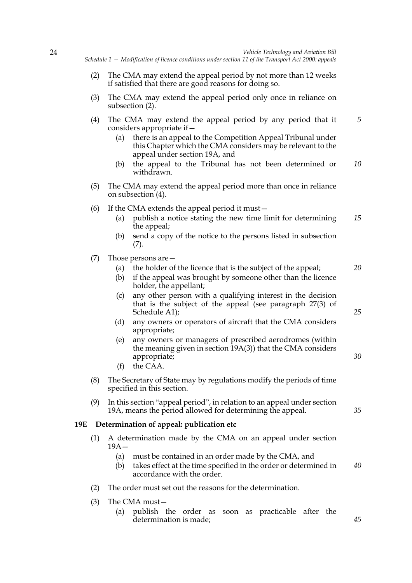- (2) The CMA may extend the appeal period by not more than 12 weeks if satisfied that there are good reasons for doing so.
- (3) The CMA may extend the appeal period only once in reliance on subsection (2).
- (4) The CMA may extend the appeal period by any period that it considers appropriate if— *5*
	- (a) there is an appeal to the Competition Appeal Tribunal under this Chapter which the CMA considers may be relevant to the appeal under section 19A, and
	- (b) the appeal to the Tribunal has not been determined or withdrawn. *10*
- (5) The CMA may extend the appeal period more than once in reliance on subsection (4).
- (6) If the CMA extends the appeal period it must—
	- (a) publish a notice stating the new time limit for determining the appeal; *15*
	- (b) send a copy of the notice to the persons listed in subsection (7).
- (7) Those persons are—
	- (a) the holder of the licence that is the subject of the appeal; *20*
	- (b) if the appeal was brought by someone other than the licence holder, the appellant;
	- (c) any other person with a qualifying interest in the decision that is the subject of the appeal (see paragraph 27(3) of Schedule A1);
	- (d) any owners or operators of aircraft that the CMA considers appropriate;
	- (e) any owners or managers of prescribed aerodromes (within the meaning given in section 19A(3)) that the CMA considers appropriate;
	- (f) the CAA.
- (8) The Secretary of State may by regulations modify the periods of time specified in this section.
- (9) In this section "appeal period", in relation to an appeal under section 19A, means the period allowed for determining the appeal.

#### **19E Determination of appeal: publication etc**

- (1) A determination made by the CMA on an appeal under section  $19A -$ 
	- (a) must be contained in an order made by the CMA, and
	- (b) takes effect at the time specified in the order or determined in accordance with the order. *40*
- (2) The order must set out the reasons for the determination.
- (3) The CMA must—
	- (a) publish the order as soon as practicable after the determination is made;

*25*

*30*

*35*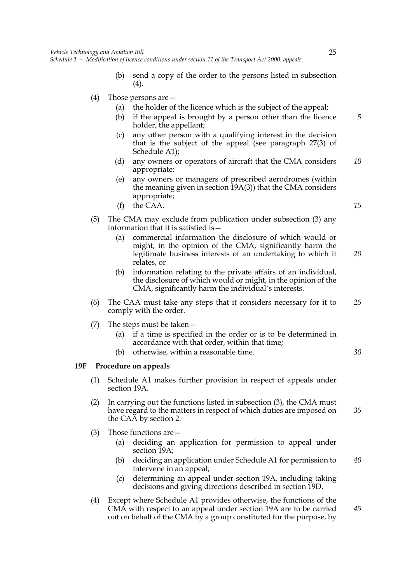- (b) send a copy of the order to the persons listed in subsection (4).
- (4) Those persons are—
	- (a) the holder of the licence which is the subject of the appeal;
	- (b) if the appeal is brought by a person other than the licence holder, the appellant;
	- (c) any other person with a qualifying interest in the decision that is the subject of the appeal (see paragraph 27(3) of Schedule A1);
	- (d) any owners or operators of aircraft that the CMA considers appropriate; *10*
	- (e) any owners or managers of prescribed aerodromes (within the meaning given in section 19A(3)) that the CMA considers appropriate;

(f) the CAA.

- (5) The CMA may exclude from publication under subsection (3) any information that it is satisfied is—
	- (a) commercial information the disclosure of which would or might, in the opinion of the CMA, significantly harm the legitimate business interests of an undertaking to which it relates, or *20*
	- (b) information relating to the private affairs of an individual, the disclosure of which would or might, in the opinion of the CMA, significantly harm the individual's interests.
- (6) The CAA must take any steps that it considers necessary for it to comply with the order. *25*
- (7) The steps must be taken—
	- (a) if a time is specified in the order or is to be determined in accordance with that order, within that time;
	- (b) otherwise, within a reasonable time.

## **19F Procedure on appeals**

- (1) Schedule A1 makes further provision in respect of appeals under section 19A.
- (2) In carrying out the functions listed in subsection (3), the CMA must have regard to the matters in respect of which duties are imposed on the CAA by section 2. *35*
- (3) Those functions are—
	- (a) deciding an application for permission to appeal under section 19A;
	- (b) deciding an application under Schedule A1 for permission to intervene in an appeal; *40*
	- (c) determining an appeal under section 19A, including taking decisions and giving directions described in section 19D.
- (4) Except where Schedule A1 provides otherwise, the functions of the CMA with respect to an appeal under section 19A are to be carried out on behalf of the CMA by a group constituted for the purpose, by *45*

*15*

*5*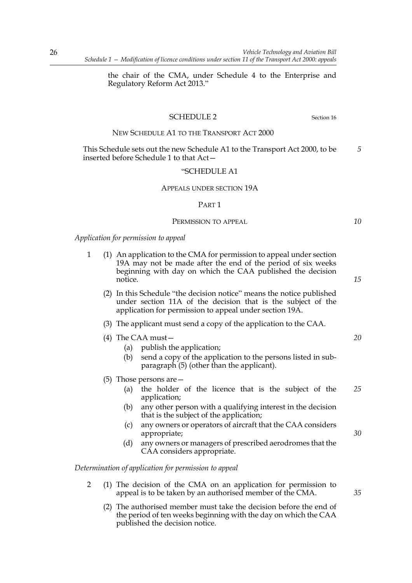the chair of the CMA, under Schedule 4 to the Enterprise and Regulatory Reform Act 2013."

## SCHEDULE 2 Section 16

NEW SCHEDULE A1 TO THE TRANSPORT ACT 2000

This Schedule sets out the new Schedule A1 to the Transport Act 2000, to be inserted before Schedule 1 to that Act— *5*

#### "SCHEDULE A1

#### APPEALS UNDER SECTION 19A

#### PART 1

#### PERMISSION TO APPEAL

*Application for permission to appeal*

- 1 (1) An application to the CMA for permission to appeal under section 19A may not be made after the end of the period of six weeks beginning with day on which the CAA published the decision notice.
	- (2) In this Schedule "the decision notice" means the notice published under section 11A of the decision that is the subject of the application for permission to appeal under section 19A.
	- (3) The applicant must send a copy of the application to the CAA.
	- (4) The CAA must—
		- (a) publish the application;
		- (b) send a copy of the application to the persons listed in subparagraph (5) (other than the applicant).
	- (5) Those persons are—
		- (a) the holder of the licence that is the subject of the application; *25*
		- (b) any other person with a qualifying interest in the decision that is the subject of the application;
		- (c) any owners or operators of aircraft that the CAA considers appropriate;
		- (d) any owners or managers of prescribed aerodromes that the CAA considers appropriate.

*Determination of application for permission to appeal*

- 2 (1) The decision of the CMA on an application for permission to appeal is to be taken by an authorised member of the CMA.
	- (2) The authorised member must take the decision before the end of the period of ten weeks beginning with the day on which the CAA published the decision notice.

*15*

*10*

*20*

*30*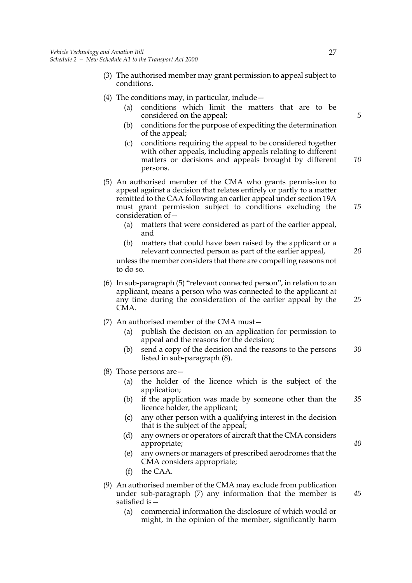- (3) The authorised member may grant permission to appeal subject to conditions.
- (4) The conditions may, in particular, include—
	- (a) conditions which limit the matters that are to be considered on the appeal;
	- (b) conditions for the purpose of expediting the determination of the appeal;
	- (c) conditions requiring the appeal to be considered together with other appeals, including appeals relating to different matters or decisions and appeals brought by different persons. *10*
- (5) An authorised member of the CMA who grants permission to appeal against a decision that relates entirely or partly to a matter remitted to the CAA following an earlier appeal under section 19A must grant permission subject to conditions excluding the consideration of—
	- (a) matters that were considered as part of the earlier appeal, and
	- (b) matters that could have been raised by the applicant or a relevant connected person as part of the earlier appeal, unless the member considers that there are compelling reasons not to do so.
- (6) In sub-paragraph (5) "relevant connected person", in relation to an applicant, means a person who was connected to the applicant at any time during the consideration of the earlier appeal by the CMA.
- (7) An authorised member of the CMA must—
	- (a) publish the decision on an application for permission to appeal and the reasons for the decision;
	- (b) send a copy of the decision and the reasons to the persons listed in sub-paragraph (8). *30*
- (8) Those persons are—
	- (a) the holder of the licence which is the subject of the application;
	- (b) if the application was made by someone other than the licence holder, the applicant; *35*
	- (c) any other person with a qualifying interest in the decision that is the subject of the appeal;
	- (d) any owners or operators of aircraft that the CMA considers appropriate;
	- (e) any owners or managers of prescribed aerodromes that the CMA considers appropriate;
	- (f) the CAA.
- (9) An authorised member of the CMA may exclude from publication under sub-paragraph (7) any information that the member is satisfied is—
	- (a) commercial information the disclosure of which would or might, in the opinion of the member, significantly harm

*5*

*15*

*20*

*25*

*40*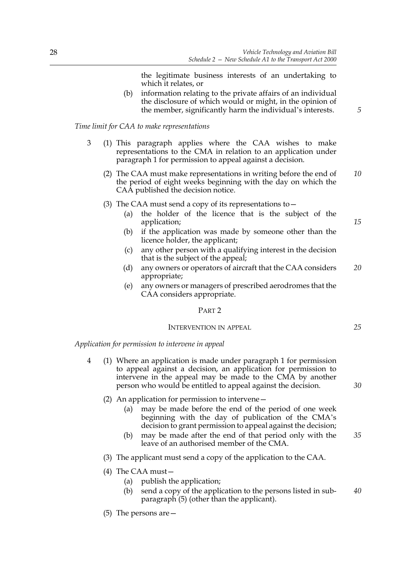the legitimate business interests of an undertaking to which it relates, or

(b) information relating to the private affairs of an individual the disclosure of which would or might, in the opinion of the member, significantly harm the individual's interests.

#### *Time limit for CAA to make representations*

- 3 (1) This paragraph applies where the CAA wishes to make representations to the CMA in relation to an application under paragraph 1 for permission to appeal against a decision.
	- (2) The CAA must make representations in writing before the end of the period of eight weeks beginning with the day on which the CAA published the decision notice. *10*
	- (3) The CAA must send a copy of its representations to  $-$ 
		- (a) the holder of the licence that is the subject of the application;
		- (b) if the application was made by someone other than the licence holder, the applicant;
		- (c) any other person with a qualifying interest in the decision that is the subject of the appeal;
		- (d) any owners or operators of aircraft that the CAA considers appropriate; *20*
		- (e) any owners or managers of prescribed aerodromes that the CAA considers appropriate.

#### PART 2

#### INTERVENTION IN APPEAL

*Application for permission to intervene in appeal*

- 4 (1) Where an application is made under paragraph 1 for permission to appeal against a decision, an application for permission to intervene in the appeal may be made to the CMA by another person who would be entitled to appeal against the decision.
	- (2) An application for permission to intervene—
		- (a) may be made before the end of the period of one week beginning with the day of publication of the CMA's decision to grant permission to appeal against the decision;
		- (b) may be made after the end of that period only with the leave of an authorised member of the CMA. *35*
	- (3) The applicant must send a copy of the application to the CAA.
	- (4) The CAA must—
		- (a) publish the application;
		- (b) send a copy of the application to the persons listed in subparagraph (5) (other than the applicant). *40*
	- (5) The persons are—

*15*

*25*

*30*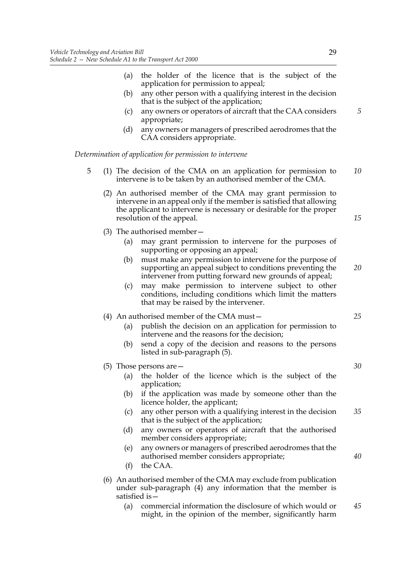- (a) the holder of the licence that is the subject of the application for permission to appeal;
- (b) any other person with a qualifying interest in the decision that is the subject of the application;
- (c) any owners or operators of aircraft that the CAA considers appropriate;
- (d) any owners or managers of prescribed aerodromes that the CAA considers appropriate.

*Determination of application for permission to intervene*

- 5 (1) The decision of the CMA on an application for permission to intervene is to be taken by an authorised member of the CMA. *10*
	- (2) An authorised member of the CMA may grant permission to intervene in an appeal only if the member is satisfied that allowing the applicant to intervene is necessary or desirable for the proper resolution of the appeal.
	- (3) The authorised member—
		- (a) may grant permission to intervene for the purposes of supporting or opposing an appeal;
		- (b) must make any permission to intervene for the purpose of supporting an appeal subject to conditions preventing the intervener from putting forward new grounds of appeal;
		- (c) may make permission to intervene subject to other conditions, including conditions which limit the matters that may be raised by the intervener.
	- (4) An authorised member of the CMA must—
		- (a) publish the decision on an application for permission to intervene and the reasons for the decision;
		- (b) send a copy of the decision and reasons to the persons listed in sub-paragraph (5).
	- (5) Those persons are—
		- (a) the holder of the licence which is the subject of the application;
		- (b) if the application was made by someone other than the licence holder, the applicant;
		- (c) any other person with a qualifying interest in the decision that is the subject of the application; *35*
		- (d) any owners or operators of aircraft that the authorised member considers appropriate;
		- (e) any owners or managers of prescribed aerodromes that the authorised member considers appropriate;
		- (f) the CAA.
	- (6) An authorised member of the CMA may exclude from publication under sub-paragraph (4) any information that the member is satisfied is—
		- (a) commercial information the disclosure of which would or might, in the opinion of the member, significantly harm *45*

*5*

*15*

*20*

*30*

*25*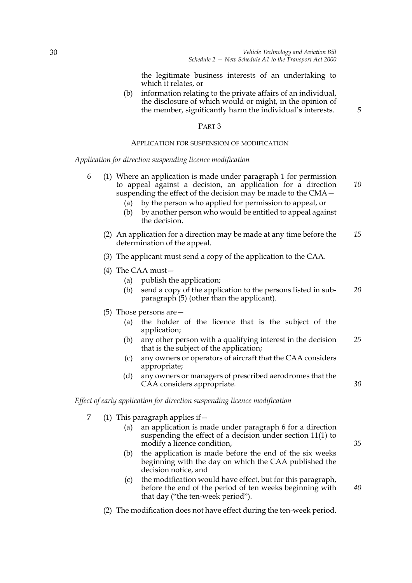the legitimate business interests of an undertaking to which it relates, or

(b) information relating to the private affairs of an individual, the disclosure of which would or might, in the opinion of the member, significantly harm the individual's interests.

#### PART 3

#### APPLICATION FOR SUSPENSION OF MODIFICATION

*Application for direction suspending licence modification*

- 6 (1) Where an application is made under paragraph 1 for permission to appeal against a decision, an application for a direction suspending the effect of the decision may be made to the CMA— *10*
	- (a) by the person who applied for permission to appeal, or
	- (b) by another person who would be entitled to appeal against the decision.
	- (2) An application for a direction may be made at any time before the determination of the appeal. *15*
	- (3) The applicant must send a copy of the application to the CAA.
	- (4) The CAA must—
		- (a) publish the application;
		- (b) send a copy of the application to the persons listed in subparagraph (5) (other than the applicant). *20*
	- (5) Those persons are—
		- (a) the holder of the licence that is the subject of the application;
		- (b) any other person with a qualifying interest in the decision that is the subject of the application; *25*
		- (c) any owners or operators of aircraft that the CAA considers appropriate;
		- (d) any owners or managers of prescribed aerodromes that the CAA considers appropriate.

#### *Effect of early application for direction suspending licence modification*

- 7 (1) This paragraph applies if—
	- (a) an application is made under paragraph 6 for a direction suspending the effect of a decision under section 11(1) to modify a licence condition,
	- (b) the application is made before the end of the six weeks beginning with the day on which the CAA published the decision notice, and
	- (c) the modification would have effect, but for this paragraph, before the end of the period of ten weeks beginning with that day ("the ten-week period").
	- (2) The modification does not have effect during the ten-week period.

*35*

*40*

*30*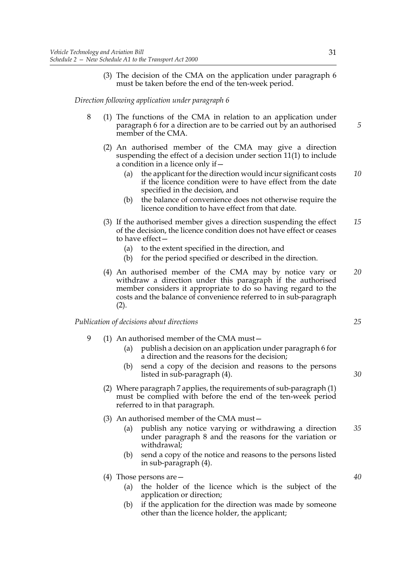(3) The decision of the CMA on the application under paragraph 6 must be taken before the end of the ten-week period.

*Direction following application under paragraph 6*

- 8 (1) The functions of the CMA in relation to an application under paragraph 6 for a direction are to be carried out by an authorised member of the CMA.
	- (2) An authorised member of the CMA may give a direction suspending the effect of a decision under section 11(1) to include a condition in a licence only if—
		- (a) the applicant for the direction would incur significant costs if the licence condition were to have effect from the date specified in the decision, and *10*
		- (b) the balance of convenience does not otherwise require the licence condition to have effect from that date.
	- (3) If the authorised member gives a direction suspending the effect of the decision, the licence condition does not have effect or ceases to have effect— *15*
		- (a) to the extent specified in the direction, and
		- (b) for the period specified or described in the direction.
	- (4) An authorised member of the CMA may by notice vary or withdraw a direction under this paragraph if the authorised member considers it appropriate to do so having regard to the costs and the balance of convenience referred to in sub-paragraph  $(2).$ *20*

*Publication of decisions about directions*

- 9 (1) An authorised member of the CMA must—
	- (a) publish a decision on an application under paragraph 6 for a direction and the reasons for the decision;
	- (b) send a copy of the decision and reasons to the persons listed in sub-paragraph (4).
	- (2) Where paragraph 7 applies, the requirements of sub-paragraph (1) must be complied with before the end of the ten-week period referred to in that paragraph.
	- (3) An authorised member of the CMA must—
		- (a) publish any notice varying or withdrawing a direction under paragraph 8 and the reasons for the variation or withdrawal; *35*
		- (b) send a copy of the notice and reasons to the persons listed in sub-paragraph (4).
	- (4) Those persons are—
		- (a) the holder of the licence which is the subject of the application or direction;
		- (b) if the application for the direction was made by someone other than the licence holder, the applicant;

*40*

*25*

*30*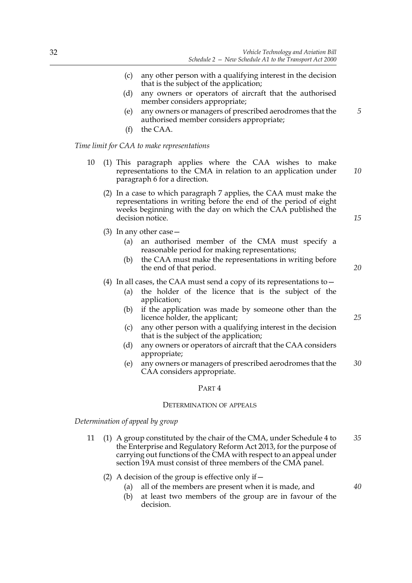- (c) any other person with a qualifying interest in the decision that is the subject of the application;
- (d) any owners or operators of aircraft that the authorised member considers appropriate;
- (e) any owners or managers of prescribed aerodromes that the authorised member considers appropriate;
- (f) the CAA.

#### *Time limit for CAA to make representations*

- 10 (1) This paragraph applies where the CAA wishes to make representations to the CMA in relation to an application under paragraph 6 for a direction. *10*
	- (2) In a case to which paragraph 7 applies, the CAA must make the representations in writing before the end of the period of eight weeks beginning with the day on which the CAA published the decision notice.
	- (3) In any other case—
		- (a) an authorised member of the CMA must specify a reasonable period for making representations;
		- (b) the CAA must make the representations in writing before the end of that period.

#### (4) In all cases, the CAA must send a copy of its representations to  $-$

- (a) the holder of the licence that is the subject of the application;
- (b) if the application was made by someone other than the licence holder, the applicant;
- (c) any other person with a qualifying interest in the decision that is the subject of the application;
- (d) any owners or operators of aircraft that the CAA considers appropriate;
- (e) any owners or managers of prescribed aerodromes that the CAA considers appropriate. *30*

#### PART 4

## DETERMINATION OF APPEALS

#### *Determination of appeal by group*

- 11 (1) A group constituted by the chair of the CMA, under Schedule 4 to the Enterprise and Regulatory Reform Act 2013, for the purpose of carrying out functions of the CMA with respect to an appeal under section 19A must consist of three members of the CMA panel. *35*
	- (2) A decision of the group is effective only if  $-$ 
		- (a) all of the members are present when it is made, and
		- (b) at least two members of the group are in favour of the decision.

*15*

*5*

*20*

*25*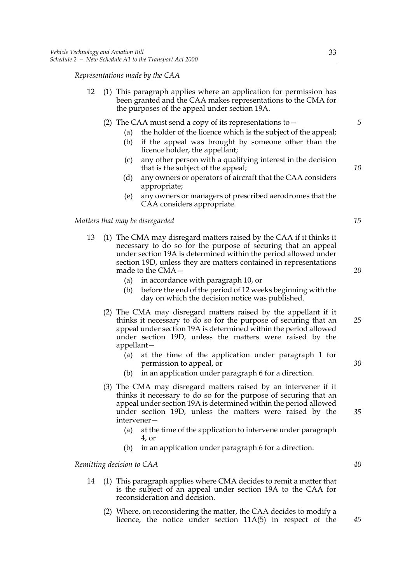*Representations made by the CAA*

- (2) The CAA must send a copy of its representations to  $-$ 
	- (a) the holder of the licence which is the subject of the appeal;
	- (b) if the appeal was brought by someone other than the licence holder, the appellant;
	- (c) any other person with a qualifying interest in the decision that is the subject of the appeal;
	- (d) any owners or operators of aircraft that the CAA considers appropriate;
	- (e) any owners or managers of prescribed aerodromes that the CAA considers appropriate.

#### *Matters that may be disregarded*

- 13 (1) The CMA may disregard matters raised by the CAA if it thinks it necessary to do so for the purpose of securing that an appeal under section 19A is determined within the period allowed under section 19D, unless they are matters contained in representations made to the CMA—
	- (a) in accordance with paragraph 10, or
	- (b) before the end of the period of 12 weeks beginning with the day on which the decision notice was published.
	- (2) The CMA may disregard matters raised by the appellant if it thinks it necessary to do so for the purpose of securing that an appeal under section 19A is determined within the period allowed under section 19D, unless the matters were raised by the appellant— *25*
		- (a) at the time of the application under paragraph 1 for permission to appeal, or
		- (b) in an application under paragraph 6 for a direction.
	- (3) The CMA may disregard matters raised by an intervener if it thinks it necessary to do so for the purpose of securing that an appeal under section 19A is determined within the period allowed under section 19D, unless the matters were raised by the intervener—
		- (a) at the time of the application to intervene under paragraph 4, or
		- (b) in an application under paragraph 6 for a direction.

*Remitting decision to CAA*

- 14 (1) This paragraph applies where CMA decides to remit a matter that is the subject of an appeal under section 19A to the CAA for reconsideration and decision.
	- (2) Where, on reconsidering the matter, the CAA decides to modify a licence, the notice under section 11A(5) in respect of the

33

*15*

*20*

*5*

*10*

*30*

*35*

*40*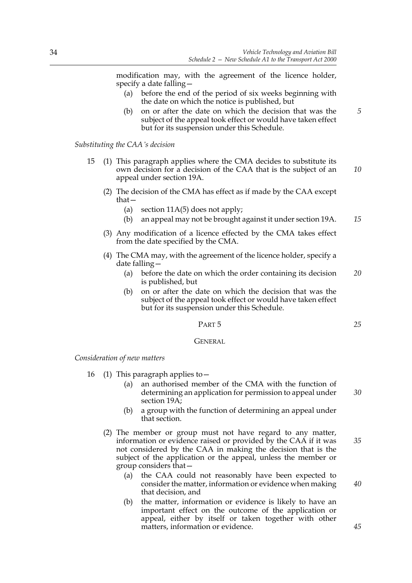modification may, with the agreement of the licence holder, specify a date falling—

- (a) before the end of the period of six weeks beginning with the date on which the notice is published, but
- (b) on or after the date on which the decision that was the subject of the appeal took effect or would have taken effect but for its suspension under this Schedule.

*Substituting the CAA's decision*

- 15 (1) This paragraph applies where the CMA decides to substitute its own decision for a decision of the CAA that is the subject of an appeal under section 19A. *10*
	- (2) The decision of the CMA has effect as if made by the CAA except that—
		- (a) section 11A(5) does not apply;
		- (b) an appeal may not be brought against it under section 19A. *15*
	- (3) Any modification of a licence effected by the CMA takes effect from the date specified by the CMA.
	- (4) The CMA may, with the agreement of the licence holder, specify a date falling—
		- (a) before the date on which the order containing its decision is published, but *20*
		- (b) on or after the date on which the decision that was the subject of the appeal took effect or would have taken effect but for its suspension under this Schedule.

## PART 5

#### **GENERAL**

*Consideration of new matters*

- 16 (1) This paragraph applies to—
	- (a) an authorised member of the CMA with the function of determining an application for permission to appeal under section 19A;
	- (b) a group with the function of determining an appeal under that section.
	- (2) The member or group must not have regard to any matter, information or evidence raised or provided by the CAA if it was not considered by the CAA in making the decision that is the subject of the application or the appeal, unless the member or group considers that— *35*
		- (a) the CAA could not reasonably have been expected to consider the matter, information or evidence when making that decision, and *40*
		- (b) the matter, information or evidence is likely to have an important effect on the outcome of the application or appeal, either by itself or taken together with other matters, information or evidence.

*25*

*30*

*5*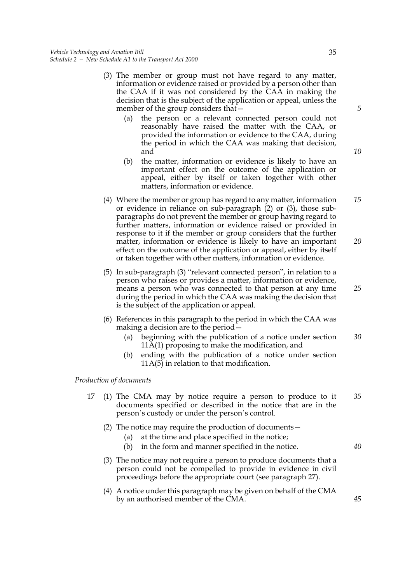- (3) The member or group must not have regard to any matter, information or evidence raised or provided by a person other than the CAA if it was not considered by the CAA in making the decision that is the subject of the application or appeal, unless the member of the group considers that—
	- (a) the person or a relevant connected person could not reasonably have raised the matter with the CAA, or provided the information or evidence to the CAA, during the period in which the CAA was making that decision, and
	- (b) the matter, information or evidence is likely to have an important effect on the outcome of the application or appeal, either by itself or taken together with other matters, information or evidence.
- (4) Where the member or group has regard to any matter, information or evidence in reliance on sub-paragraph (2) or (3), those subparagraphs do not prevent the member or group having regard to further matters, information or evidence raised or provided in response to it if the member or group considers that the further matter, information or evidence is likely to have an important effect on the outcome of the application or appeal, either by itself or taken together with other matters, information or evidence. *15 20*
- (5) In sub-paragraph (3) "relevant connected person", in relation to a person who raises or provides a matter, information or evidence, means a person who was connected to that person at any time during the period in which the CAA was making the decision that is the subject of the application or appeal.
- (6) References in this paragraph to the period in which the CAA was making a decision are to the period—
	- (a) beginning with the publication of a notice under section 11A(1) proposing to make the modification, and *30*
	- (b) ending with the publication of a notice under section 11A(5) in relation to that modification.

## *Production of documents*

- 17 (1) The CMA may by notice require a person to produce to it documents specified or described in the notice that are in the person's custody or under the person's control. *35*
	- (2) The notice may require the production of documents—
		- (a) at the time and place specified in the notice;
		- (b) in the form and manner specified in the notice.
	- (3) The notice may not require a person to produce documents that a person could not be compelled to provide in evidence in civil proceedings before the appropriate court (see paragraph 27).
	- (4) A notice under this paragraph may be given on behalf of the CMA by an authorised member of the CMA.

*5*

*10*

*25*

*40*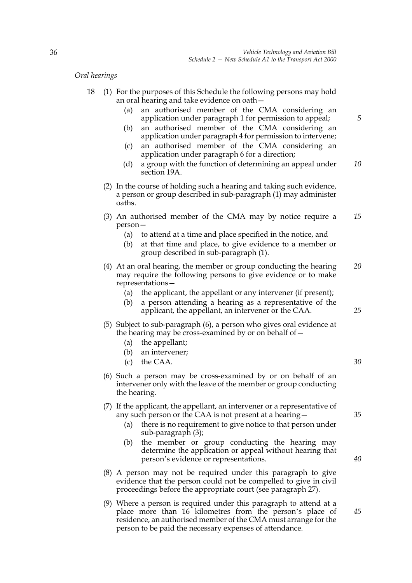*Oral hearings*

| 18 | (1) For the purposes of this Schedule the following persons may hold<br>an oral hearing and take evidence on oath -                                                                                                                                                                                                                                     |          |
|----|---------------------------------------------------------------------------------------------------------------------------------------------------------------------------------------------------------------------------------------------------------------------------------------------------------------------------------------------------------|----------|
|    | an authorised member of the CMA considering an<br>(a)<br>application under paragraph 1 for permission to appeal;<br>an authorised member of the CMA considering an<br>(b)<br>application under paragraph 4 for permission to intervene;                                                                                                                 | 5        |
|    | an authorised member of the CMA considering an<br>(c)<br>application under paragraph 6 for a direction;<br>a group with the function of determining an appeal under<br>(d)<br>section 19A.                                                                                                                                                              | 10       |
|    | (2) In the course of holding such a hearing and taking such evidence,<br>a person or group described in sub-paragraph (1) may administer<br>oaths.                                                                                                                                                                                                      |          |
|    | (3) An authorised member of the CMA may by notice require a<br>person-<br>to attend at a time and place specified in the notice, and<br>(a)<br>at that time and place, to give evidence to a member or<br>(b)<br>group described in sub-paragraph (1).                                                                                                  | 15       |
|    | (4) At an oral hearing, the member or group conducting the hearing<br>may require the following persons to give evidence or to make<br>representations-<br>the applicant, the appellant or any intervener (if present);<br>(a)<br>a person attending a hearing as a representative of the<br>(b)<br>applicant, the appellant, an intervener or the CAA. | 20<br>25 |
|    | (5) Subject to sub-paragraph (6), a person who gives oral evidence at<br>the hearing may be cross-examined by or on behalf of $-$<br>the appellant;<br>(a)<br>(b)<br>an intervener;<br>(c)<br>the CAA.                                                                                                                                                  | 30       |
|    | (6) Such a person may be cross-examined by or on behalf of an<br>intervener only with the leave of the member or group conducting<br>the hearing.                                                                                                                                                                                                       |          |
|    | (7) If the applicant, the appellant, an intervener or a representative of<br>any such person or the CAA is not present at a hearing –<br>there is no requirement to give notice to that person under<br>(a)<br>sub-paragraph (3);<br>the member or group conducting the hearing may<br>(b)<br>determine the application or appeal without hearing that  | 35       |
|    | person's evidence or representations.<br>(8) A person may not be required under this paragraph to give<br>evidence that the person could not be compelled to give in civil                                                                                                                                                                              | 40       |

(9) Where a person is required under this paragraph to attend at a place more than 16 kilometres from the person's place of residence, an authorised member of the CMA must arrange for the person to be paid the necessary expenses of attendance.

*45*

proceedings before the appropriate court (see paragraph 27).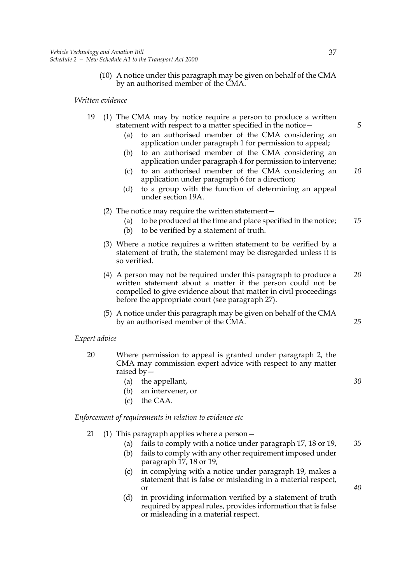(10) A notice under this paragraph may be given on behalf of the CMA by an authorised member of the CMA.

*Written evidence*

- 19 (1) The CMA may by notice require a person to produce a written statement with respect to a matter specified in the notice -
	- (a) to an authorised member of the CMA considering an application under paragraph 1 for permission to appeal;
	- (b) to an authorised member of the CMA considering an application under paragraph 4 for permission to intervene;
	- (c) to an authorised member of the CMA considering an application under paragraph 6 for a direction; *10*
	- (d) to a group with the function of determining an appeal under section 19A.
	- (2) The notice may require the written statement—
		- (a) to be produced at the time and place specified in the notice; *15*
		- (b) to be verified by a statement of truth.
	- (3) Where a notice requires a written statement to be verified by a statement of truth, the statement may be disregarded unless it is so verified.
	- (4) A person may not be required under this paragraph to produce a written statement about a matter if the person could not be compelled to give evidence about that matter in civil proceedings before the appropriate court (see paragraph 27). *20*
	- (5) A notice under this paragraph may be given on behalf of the CMA by an authorised member of the CMA.

## *Expert advice*

- 20 Where permission to appeal is granted under paragraph 2, the CMA may commission expert advice with respect to any matter raised by—
	- (a) the appellant,
	- (b) an intervener, or
	- (c) the CAA.

*Enforcement of requirements in relation to evidence etc*

- 21 (1) This paragraph applies where a person—
	- (a) fails to comply with a notice under paragraph 17, 18 or 19, *35*
	- (b) fails to comply with any other requirement imposed under paragraph 17, 18 or 19,
	- (c) in complying with a notice under paragraph 19, makes a statement that is false or misleading in a material respect, or
	- (d) in providing information verified by a statement of truth required by appeal rules, provides information that is false or misleading in a material respect.

*5*

*30*

*25*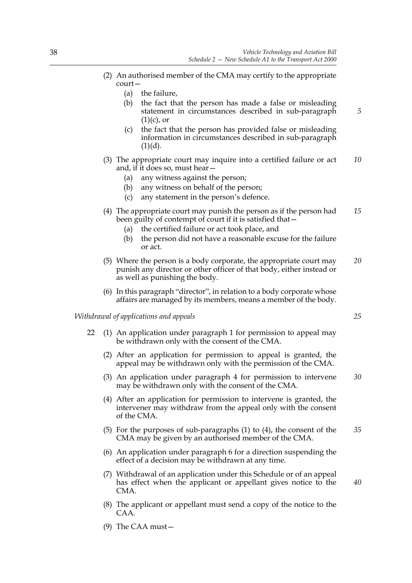- (2) An authorised member of the CMA may certify to the appropriate court—
	- (a) the failure,
	- (b) the fact that the person has made a false or misleading statement in circumstances described in sub-paragraph  $(1)(c)$ , or
	- (c) the fact that the person has provided false or misleading information in circumstances described in sub-paragraph  $(1)(d)$ .
- (3) The appropriate court may inquire into a certified failure or act and, if it does so, must hear— *10*
	- (a) any witness against the person;
	- (b) any witness on behalf of the person;
	- (c) any statement in the person's defence.
- (4) The appropriate court may punish the person as if the person had been guilty of contempt of court if it is satisfied that— *15*
	- (a) the certified failure or act took place, and
	- (b) the person did not have a reasonable excuse for the failure or act.
- (5) Where the person is a body corporate, the appropriate court may punish any director or other officer of that body, either instead or as well as punishing the body. *20*
- (6) In this paragraph "director", in relation to a body corporate whose affairs are managed by its members, means a member of the body.

*Withdrawal of applications and appeals*

- 22 (1) An application under paragraph 1 for permission to appeal may be withdrawn only with the consent of the CMA.
	- (2) After an application for permission to appeal is granted, the appeal may be withdrawn only with the permission of the CMA.
	- (3) An application under paragraph 4 for permission to intervene may be withdrawn only with the consent of the CMA. *30*
	- (4) After an application for permission to intervene is granted, the intervener may withdraw from the appeal only with the consent of the CMA.
	- (5) For the purposes of sub-paragraphs (1) to (4), the consent of the CMA may be given by an authorised member of the CMA. *35*
	- (6) An application under paragraph 6 for a direction suspending the effect of a decision may be withdrawn at any time.
	- (7) Withdrawal of an application under this Schedule or of an appeal has effect when the applicant or appellant gives notice to the CMA.
	- (8) The applicant or appellant must send a copy of the notice to the CAA.
	- (9) The CAA must—

*25*

*5*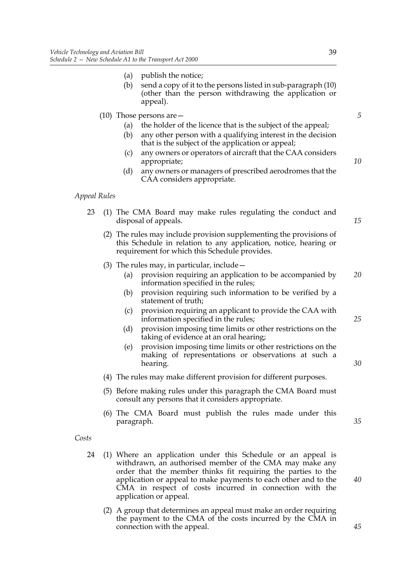- (a) publish the notice; (b) send a copy of it to the persons listed in sub-paragraph (10) (other than the person withdrawing the application or appeal). (10) Those persons are— (a) the holder of the licence that is the subject of the appeal; (b) any other person with a qualifying interest in the decision that is the subject of the application or appeal; (c) any owners or operators of aircraft that the CAA considers appropriate; (d) any owners or managers of prescribed aerodromes that the CAA considers appropriate. *Appeal Rules* 23 (1) The CMA Board may make rules regulating the conduct and disposal of appeals. (2) The rules may include provision supplementing the provisions of this Schedule in relation to any application, notice, hearing or requirement for which this Schedule provides.
	- (3) The rules may, in particular, include—
		- (a) provision requiring an application to be accompanied by information specified in the rules; *20*
		- (b) provision requiring such information to be verified by a statement of truth;
		- (c) provision requiring an applicant to provide the CAA with information specified in the rules;
		- (d) provision imposing time limits or other restrictions on the taking of evidence at an oral hearing;
		- (e) provision imposing time limits or other restrictions on the making of representations or observations at such a hearing.
	- (4) The rules may make different provision for different purposes.
	- (5) Before making rules under this paragraph the CMA Board must consult any persons that it considers appropriate.
	- (6) The CMA Board must publish the rules made under this paragraph.

*Costs*

- 24 (1) Where an application under this Schedule or an appeal is withdrawn, an authorised member of the CMA may make any order that the member thinks fit requiring the parties to the application or appeal to make payments to each other and to the CMA in respect of costs incurred in connection with the application or appeal.
	- (2) A group that determines an appeal must make an order requiring the payment to the CMA of the costs incurred by the CMA in connection with the appeal.

*40*

*45*

*25*

*30*

*35*

*5*

*10*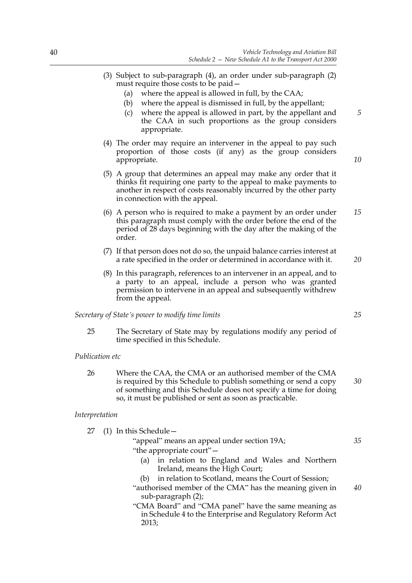- (3) Subject to sub-paragraph (4), an order under sub-paragraph (2) must require those costs to be paid—
	- (a) where the appeal is allowed in full, by the CAA;
	- (b) where the appeal is dismissed in full, by the appellant;
	- (c) where the appeal is allowed in part, by the appellant and the CAA in such proportions as the group considers appropriate.
- (4) The order may require an intervener in the appeal to pay such proportion of those costs (if any) as the group considers appropriate.
- (5) A group that determines an appeal may make any order that it thinks fit requiring one party to the appeal to make payments to another in respect of costs reasonably incurred by the other party in connection with the appeal.
- (6) A person who is required to make a payment by an order under this paragraph must comply with the order before the end of the period of 28 days beginning with the day after the making of the order. *15*
- (7) If that person does not do so, the unpaid balance carries interest at a rate specified in the order or determined in accordance with it.
- (8) In this paragraph, references to an intervener in an appeal, and to a party to an appeal, include a person who was granted permission to intervene in an appeal and subsequently withdrew from the appeal.

*Secretary of State's power to modify time limits*

- 25 The Secretary of State may by regulations modify any period of time specified in this Schedule.
- *Publication etc*
	- 26 Where the CAA, the CMA or an authorised member of the CMA is required by this Schedule to publish something or send a copy of something and this Schedule does not specify a time for doing so, it must be published or sent as soon as practicable. *30*

## *Interpretation*

27 (1) In this Schedule—

"appeal" means an appeal under section 19A; "the appropriate court"—

- (a) in relation to England and Wales and Northern Ireland, means the High Court;
- (b) in relation to Scotland, means the Court of Session;
- "authorised member of the CMA" has the meaning given in sub-paragraph (2); *40*
- "CMA Board" and "CMA panel" have the same meaning as in Schedule 4 to the Enterprise and Regulatory Reform Act 2013;

*20*

*5*

*10*

*25*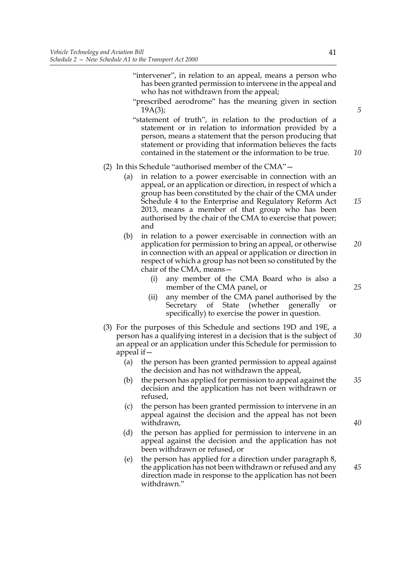- "intervener", in relation to an appeal, means a person who has been granted permission to intervene in the appeal and who has not withdrawn from the appeal;
- "prescribed aerodrome" has the meaning given in section 19A(3);
- "statement of truth", in relation to the production of a statement or in relation to information provided by a person, means a statement that the person producing that statement or providing that information believes the facts contained in the statement or the information to be true.
- (2) In this Schedule "authorised member of the CMA"—
	- (a) in relation to a power exercisable in connection with an appeal, or an application or direction, in respect of which a group has been constituted by the chair of the CMA under Schedule 4 to the Enterprise and Regulatory Reform Act 2013, means a member of that group who has been authorised by the chair of the CMA to exercise that power; and *15*
	- (b) in relation to a power exercisable in connection with an application for permission to bring an appeal, or otherwise in connection with an appeal or application or direction in respect of which a group has not been so constituted by the chair of the CMA, means— *20*
		- (i) any member of the CMA Board who is also a member of the CMA panel, or
		- (ii) any member of the CMA panel authorised by the Secretary of State (whether generally or specifically) to exercise the power in question.
- (3) For the purposes of this Schedule and sections 19D and 19E, a person has a qualifying interest in a decision that is the subject of an appeal or an application under this Schedule for permission to appeal if— *30*
	- (a) the person has been granted permission to appeal against the decision and has not withdrawn the appeal,
	- (b) the person has applied for permission to appeal against the decision and the application has not been withdrawn or refused, *35*
	- (c) the person has been granted permission to intervene in an appeal against the decision and the appeal has not been withdrawn,
	- (d) the person has applied for permission to intervene in an appeal against the decision and the application has not been withdrawn or refused, or
	- (e) the person has applied for a direction under paragraph 8, the application has not been withdrawn or refused and any direction made in response to the application has not been withdrawn."

*40*

41

*5*

*10*

*25*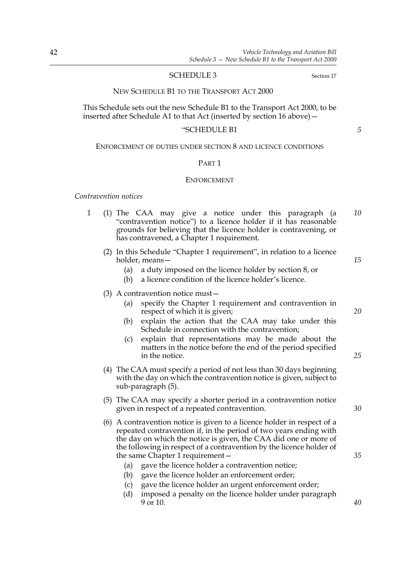## SCHEDULE 3 Section 17

NEW SCHEDULE B1 TO THE TRANSPORT ACT 2000

This Schedule sets out the new Schedule B1 to the Transport Act 2000, to be inserted after Schedule A1 to that Act (inserted by section 16 above)—

### "SCHEDULE B1

### ENFORCEMENT OF DUTIES UNDER SECTION 8 AND LICENCE CONDITIONS

#### PART 1

#### **ENFORCEMENT**

### *Contravention notices*

- 1 (1) The CAA may give a notice under this paragraph (a "contravention notice") to a licence holder if it has reasonable grounds for believing that the licence holder is contravening, or has contravened, a Chapter 1 requirement. *10*
	- (2) In this Schedule "Chapter 1 requirement", in relation to a licence holder, means—
		- (a) a duty imposed on the licence holder by section 8, or
		- (b) a licence condition of the licence holder's licence.
	- (3) A contravention notice must—
		- (a) specify the Chapter 1 requirement and contravention in respect of which it is given;
		- (b) explain the action that the CAA may take under this Schedule in connection with the contravention:
		- (c) explain that representations may be made about the matters in the notice before the end of the period specified in the notice.
	- (4) The CAA must specify a period of not less than 30 days beginning with the day on which the contravention notice is given, subject to sub-paragraph (5).
	- (5) The CAA may specify a shorter period in a contravention notice given in respect of a repeated contravention.
	- (6) A contravention notice is given to a licence holder in respect of a repeated contravention if, in the period of two years ending with the day on which the notice is given, the CAA did one or more of the following in respect of a contravention by the licence holder of the same Chapter 1 requirement -
		- (a) gave the licence holder a contravention notice;
		- (b) gave the licence holder an enforcement order;
		- (c) gave the licence holder an urgent enforcement order;
		- (d) imposed a penalty on the licence holder under paragraph 9 or 10.

*5*

*25*

*20*

*15*

*30*

*35*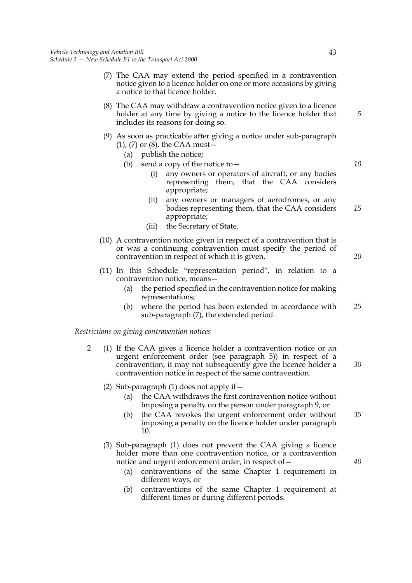- (7) The CAA may extend the period specified in a contravention notice given to a licence holder on one or more occasions by giving a notice to that licence holder.
- (8) The CAA may withdraw a contravention notice given to a licence holder at any time by giving a notice to the licence holder that includes its reasons for doing so.
- (9) As soon as practicable after giving a notice under sub-paragraph  $(1)$ ,  $(7)$  or  $(8)$ , the CAA must –
	- (a) publish the notice;
	- (b) send a copy of the notice to— *10*
		- (i) any owners or operators of aircraft, or any bodies representing them, that the CAA considers appropriate;
		- (ii) any owners or managers of aerodromes, or any bodies representing them, that the CAA considers appropriate; *15*
		- (iii) the Secretary of State.
- (10) A contravention notice given in respect of a contravention that is or was a continuing contravention must specify the period of contravention in respect of which it is given.
- (11) In this Schedule "representation period", in relation to a contravention notice, means—
	- (a) the period specified in the contravention notice for making representations;
	- (b) where the period has been extended in accordance with sub-paragraph (7), the extended period. *25*

*Restrictions on giving contravention notices*

- 2 (1) If the CAA gives a licence holder a contravention notice or an urgent enforcement order (see paragraph 5)) in respect of a contravention, it may not subsequently give the licence holder a contravention notice in respect of the same contravention. *30*
	- (2) Sub-paragraph (1) does not apply if  $-$ 
		- (a) the CAA withdraws the first contravention notice without imposing a penalty on the person under paragraph 9, or
		- (b) the CAA revokes the urgent enforcement order without imposing a penalty on the licence holder under paragraph 10. *35*
	- (3) Sub-paragraph (1) does not prevent the CAA giving a licence holder more than one contravention notice, or a contravention notice and urgent enforcement order, in respect of—
		- (a) contraventions of the same Chapter 1 requirement in different ways, or
		- (b) contraventions of the same Chapter 1 requirement at different times or during different periods.

*5*

*20*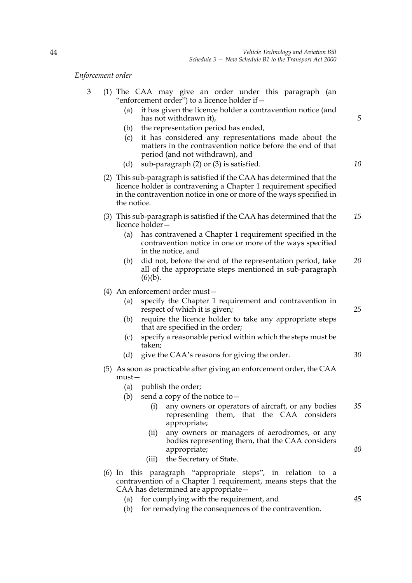*Enforcement order*

|  |  |  |  |                                                 | (1) The CAA may give an order under this paragraph (an |  |
|--|--|--|--|-------------------------------------------------|--------------------------------------------------------|--|
|  |  |  |  | "enforcement order") to a licence holder if $-$ |                                                        |  |

- (a) it has given the licence holder a contravention notice (and has not withdrawn it),
- (b) the representation period has ended,
- (c) it has considered any representations made about the matters in the contravention notice before the end of that period (and not withdrawn), and
- (d) sub-paragraph (2) or (3) is satisfied.
- (2) This sub-paragraph is satisfied if the CAA has determined that the licence holder is contravening a Chapter 1 requirement specified in the contravention notice in one or more of the ways specified in the notice.
- (3) This sub-paragraph is satisfied if the CAA has determined that the licence holder— *15*
	- (a) has contravened a Chapter 1 requirement specified in the contravention notice in one or more of the ways specified in the notice, and
	- (b) did not, before the end of the representation period, take all of the appropriate steps mentioned in sub-paragraph  $(6)(b).$ *20*
- (4) An enforcement order must—
	- (a) specify the Chapter 1 requirement and contravention in respect of which it is given;
	- (b) require the licence holder to take any appropriate steps that are specified in the order;
	- (c) specify a reasonable period within which the steps must be taken;
	- (d) give the CAA's reasons for giving the order.
- (5) As soon as practicable after giving an enforcement order, the CAA must—
	- (a) publish the order;
	- (b) send a copy of the notice to  $-$ 
		- (i) any owners or operators of aircraft, or any bodies representing them, that the CAA considers appropriate; *35*
		- (ii) any owners or managers of aerodromes, or any bodies representing them, that the CAA considers appropriate;
		- (iii) the Secretary of State.
- (6) In this paragraph "appropriate steps", in relation to a contravention of a Chapter 1 requirement, means steps that the CAA has determined are appropriate—
	- (a) for complying with the requirement, and
	- (b) for remedying the consequences of the contravention.

*10*

*25*

*30*

*40*

*45*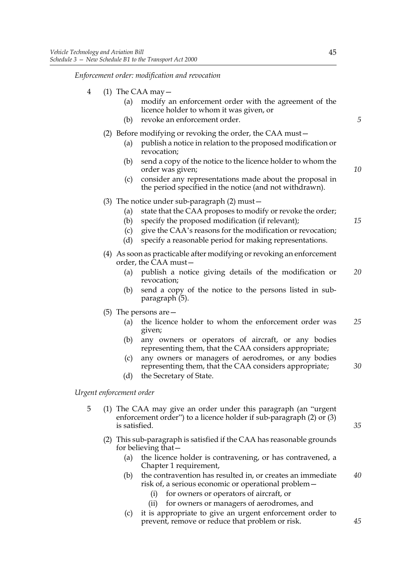*Enforcement order: modification and revocation*

| 4 | (1) The CAA may $-$                                                                                                                                    |    |
|---|--------------------------------------------------------------------------------------------------------------------------------------------------------|----|
|   | modify an enforcement order with the agreement of the<br>(a)<br>licence holder to whom it was given, or                                                |    |
|   | revoke an enforcement order.<br>(b)                                                                                                                    | 5  |
|   | (2) Before modifying or revoking the order, the CAA must $-$                                                                                           |    |
|   | publish a notice in relation to the proposed modification or<br>(a)<br>revocation;                                                                     |    |
|   | send a copy of the notice to the licence holder to whom the<br>(b)<br>order was given;                                                                 | 10 |
|   | consider any representations made about the proposal in<br>(c)<br>the period specified in the notice (and not withdrawn).                              |    |
|   | (3) The notice under sub-paragraph $(2)$ must $-$                                                                                                      |    |
|   | state that the CAA proposes to modify or revoke the order;<br>(a)                                                                                      |    |
|   | specify the proposed modification (if relevant);<br>(b)                                                                                                | 15 |
|   | give the CAA's reasons for the modification or revocation;<br>(c)<br>specify a reasonable period for making representations.<br>(d)                    |    |
|   | (4) As soon as practicable after modifying or revoking an enforcement<br>order, the CAA must-                                                          |    |
|   | (a)<br>publish a notice giving details of the modification or<br>revocation;                                                                           | 20 |
|   | send a copy of the notice to the persons listed in sub-<br>(b)                                                                                         |    |
|   | paragraph (5).                                                                                                                                         |    |
|   | $(5)$ The persons are $-$                                                                                                                              |    |
|   | the licence holder to whom the enforcement order was<br>(a)<br>given;                                                                                  | 25 |
|   | any owners or operators of aircraft, or any bodies<br>(b)<br>representing them, that the CAA considers appropriate;                                    |    |
|   | any owners or managers of aerodromes, or any bodies<br>(c)<br>representing them, that the CAA considers appropriate;                                   | 30 |
|   | the Secretary of State.<br>(d)                                                                                                                         |    |
|   | Urgent enforcement order                                                                                                                               |    |
| 5 | (1) The CAA may give an order under this paragraph (an "urgent<br>enforcement order") to a licence holder if sub-paragraph (2) or (3)<br>is satisfied. | 35 |
|   | (2) This sub-paragraph is satisfied if the CAA has reasonable grounds<br>for believing that -                                                          |    |
|   | the licence holder is contravening, or has contravened, a<br>(a)<br>Chapter 1 requirement,                                                             |    |
|   | the contravention has resulted in, or creates an immediate<br>(b)<br>risk of, a serious economic or operational problem -                              | 40 |
|   | for owners or operators of aircraft, or<br>(i)                                                                                                         |    |
|   | for owners or managers of aerodromes, and<br>(ii)                                                                                                      |    |
|   |                                                                                                                                                        |    |

(c) it is appropriate to give an urgent enforcement order to prevent, remove or reduce that problem or risk.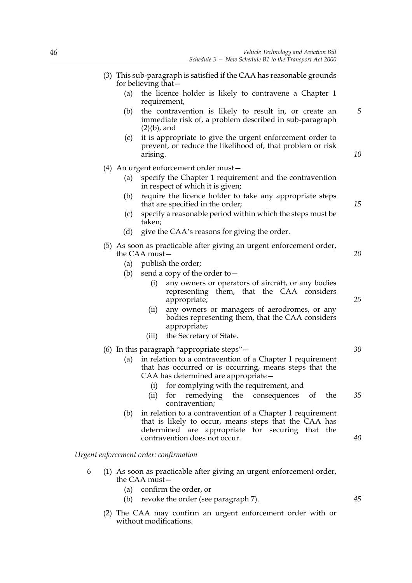(3) This sub-paragraph is satisfied if the CAA has reasonable grounds for believing that— (a) the licence holder is likely to contravene a Chapter 1 requirement, (b) the contravention is likely to result in, or create an immediate risk of, a problem described in sub-paragraph (2)(b), and (c) it is appropriate to give the urgent enforcement order to prevent, or reduce the likelihood of, that problem or risk arising. (4) An urgent enforcement order must— (a) specify the Chapter 1 requirement and the contravention in respect of which it is given; (b) require the licence holder to take any appropriate steps that are specified in the order; (c) specify a reasonable period within which the steps must be taken; (d) give the CAA's reasons for giving the order. (5) As soon as practicable after giving an urgent enforcement order, the CAA must— (a) publish the order; (b) send a copy of the order to any owners or operators of aircraft, or any bodies representing them, that the CAA considers appropriate; (ii) any owners or managers of aerodromes, or any bodies representing them, that the CAA considers appropriate; (iii) the Secretary of State. (6) In this paragraph "appropriate steps"— (a) in relation to a contravention of a Chapter 1 requirement that has occurred or is occurring, means steps that the CAA has determined are appropriate— (i) for complying with the requirement, and (ii) for remedying the consequences of the contravention; (b) in relation to a contravention of a Chapter 1 requirement that is likely to occur, means steps that the CAA has determined are appropriate for securing that the *5 10 15 20 25 30 35*

#### *Urgent enforcement order: confirmation*

6 (1) As soon as practicable after giving an urgent enforcement order, the CAA must*40*

*45*

- (a) confirm the order, or
- (b) revoke the order (see paragraph 7).

contravention does not occur.

(2) The CAA may confirm an urgent enforcement order with or without modifications.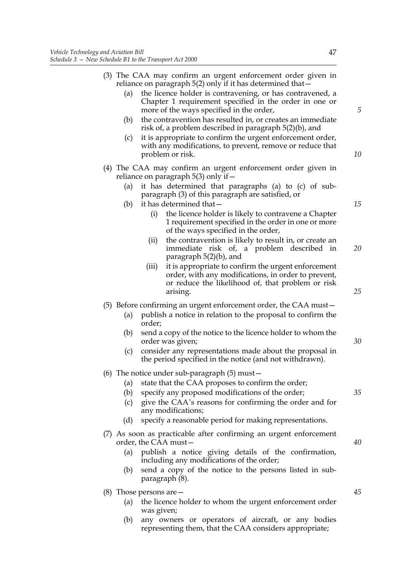|     |     | (3) The CAA may confirm an urgent enforcement order given in<br>reliance on paragraph 5(2) only if it has determined that -                                                          |
|-----|-----|--------------------------------------------------------------------------------------------------------------------------------------------------------------------------------------|
|     | (a) | the licence holder is contravening, or has contravened, a<br>Chapter 1 requirement specified in the order in one or<br>more of the ways specified in the order,                      |
|     | (b) | the contravention has resulted in, or creates an immediate<br>risk of, a problem described in paragraph 5(2)(b), and                                                                 |
|     | (c) | it is appropriate to confirm the urgent enforcement order,<br>with any modifications, to prevent, remove or reduce that<br>problem or risk.                                          |
|     |     | (4) The CAA may confirm an urgent enforcement order given in<br>reliance on paragraph $5(3)$ only if $-$                                                                             |
|     | (a) | it has determined that paragraphs (a) to (c) of sub-<br>paragraph (3) of this paragraph are satisfied, or                                                                            |
|     | (b) | it has determined that -                                                                                                                                                             |
|     |     | the licence holder is likely to contravene a Chapter<br>(i)<br>1 requirement specified in the order in one or more<br>of the ways specified in the order,                            |
|     |     | the contravention is likely to result in, or create an<br>(ii)<br>immediate risk of, a problem described in<br>paragraph 5(2)(b), and                                                |
|     |     | it is appropriate to confirm the urgent enforcement<br>(iii)<br>order, with any modifications, in order to prevent,<br>or reduce the likelihood of, that problem or risk<br>arising. |
|     |     | (5) Before confirming an urgent enforcement order, the CAA must—                                                                                                                     |
|     | (a) | publish a notice in relation to the proposal to confirm the<br>order;                                                                                                                |
|     | (b) | send a copy of the notice to the licence holder to whom the<br>order was given;                                                                                                      |
|     | (c) | consider any representations made about the proposal in<br>the period specified in the notice (and not withdrawn).                                                                   |
|     |     | $(6)$ The notice under sub-paragraph $(5)$ must $-$                                                                                                                                  |
|     | (a) | state that the CAA proposes to confirm the order;                                                                                                                                    |
|     | (b) | specify any proposed modifications of the order;                                                                                                                                     |
|     | (c) | give the CAA's reasons for confirming the order and for<br>any modifications;                                                                                                        |
|     | (d) | specify a reasonable period for making representations.                                                                                                                              |
| (7) |     | As soon as practicable after confirming an urgent enforcement<br>order, the CAA must-                                                                                                |
|     | (a) | publish a notice giving details of the confirmation,<br>including any modifications of the order;                                                                                    |
|     | (b) | send a copy of the notice to the persons listed in sub-<br>paragraph (8).                                                                                                            |
|     |     | $(8)$ Those persons are $-$                                                                                                                                                          |

- (a) the licence holder to whom the urgent enforcement order was given;
- (b) any owners or operators of aircraft, or any bodies representing them, that the CAA considers appropriate;

*30*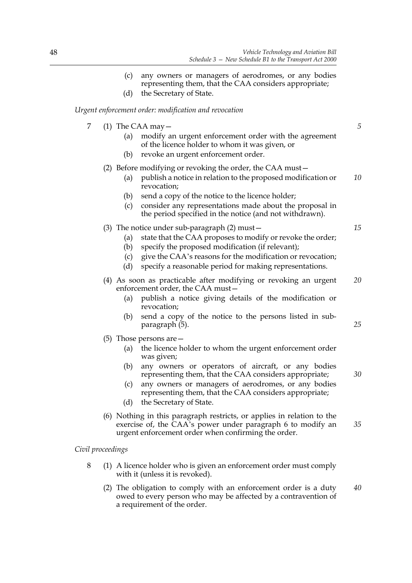- (c) any owners or managers of aerodromes, or any bodies representing them, that the CAA considers appropriate;
- (d) the Secretary of State.

*Urgent enforcement order: modification and revocation*

| 7 | (1) The CAA may $-$<br>(a)<br>modify an urgent enforcement order with the agreement<br>of the licence holder to whom it was given, or                                                                                                                                                                                    | 5        |
|---|--------------------------------------------------------------------------------------------------------------------------------------------------------------------------------------------------------------------------------------------------------------------------------------------------------------------------|----------|
|   | revoke an urgent enforcement order.<br>(b)                                                                                                                                                                                                                                                                               |          |
|   | (2) Before modifying or revoking the order, the CAA must –<br>publish a notice in relation to the proposed modification or<br>(a)<br>revocation;                                                                                                                                                                         | 10       |
|   | send a copy of the notice to the licence holder;<br>(b)<br>consider any representations made about the proposal in<br>(c)<br>the period specified in the notice (and not withdrawn).                                                                                                                                     |          |
|   | (3) The notice under sub-paragraph $(2)$ must $-$<br>state that the CAA proposes to modify or revoke the order;<br>(a)<br>specify the proposed modification (if relevant);<br>(b)<br>(c)<br>give the CAA's reasons for the modification or revocation;<br>(d)<br>specify a reasonable period for making representations. | 15       |
|   | (4) As soon as practicable after modifying or revoking an urgent<br>enforcement order, the CAA must-<br>publish a notice giving details of the modification or<br>(a)<br>revocation;<br>send a copy of the notice to the persons listed in sub-<br>(b)<br>paragraph (5).                                                 | 20<br>25 |
|   | (5) Those persons are $-$<br>the licence holder to whom the urgent enforcement order<br>(a)<br>was given;                                                                                                                                                                                                                |          |
|   | any owners or operators of aircraft, or any bodies<br>(b)<br>representing them, that the CAA considers appropriate;<br>any owners or managers of aerodromes, or any bodies<br>(c)<br>representing them, that the CAA considers appropriate;<br>(d)<br>the Secretary of State.                                            | 30       |
|   | (6) Nothing in this paragraph restricts, or applies in relation to the<br>exercise of, the CAA's power under paragraph 6 to modify an<br>urgent enforcement order when confirming the order.                                                                                                                             | 35       |
|   | Civil proceedings                                                                                                                                                                                                                                                                                                        |          |
| 8 | (1) A licence holder who is given an enforcement order must comply<br>with it (unless it is revoked).                                                                                                                                                                                                                    |          |

(2) The obligation to comply with an enforcement order is a duty owed to every person who may be affected by a contravention of a requirement of the order. *40*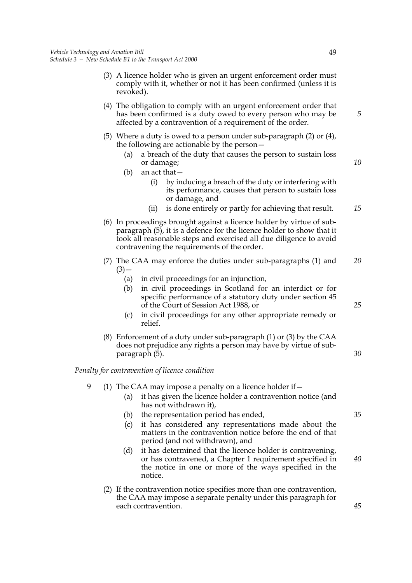- (3) A licence holder who is given an urgent enforcement order must comply with it, whether or not it has been confirmed (unless it is revoked).
- (4) The obligation to comply with an urgent enforcement order that has been confirmed is a duty owed to every person who may be affected by a contravention of a requirement of the order.
- (5) Where a duty is owed to a person under sub-paragraph (2) or (4), the following are actionable by the person—
	- (a) a breach of the duty that causes the person to sustain loss or damage;

(b) an act that—

- (i) by inducing a breach of the duty or interfering with its performance, causes that person to sustain loss or damage, and
- (ii) is done entirely or partly for achieving that result. *15*
- (6) In proceedings brought against a licence holder by virtue of subparagraph (5), it is a defence for the licence holder to show that it took all reasonable steps and exercised all due diligence to avoid contravening the requirements of the order.
- (7) The CAA may enforce the duties under sub-paragraphs (1) and  $(3)$  — *20*
	- (a) in civil proceedings for an injunction,
	- (b) in civil proceedings in Scotland for an interdict or for specific performance of a statutory duty under section 45 of the Court of Session Act 1988, or
	- (c) in civil proceedings for any other appropriate remedy or relief.
- (8) Enforcement of a duty under sub-paragraph (1) or (3) by the CAA does not prejudice any rights a person may have by virtue of subparagraph (5).

## *Penalty for contravention of licence condition*

- 9 (1) The CAA may impose a penalty on a licence holder if—
	- (a) it has given the licence holder a contravention notice (and has not withdrawn it),
		- (b) the representation period has ended,
		- (c) it has considered any representations made about the matters in the contravention notice before the end of that period (and not withdrawn), and
		- (d) it has determined that the licence holder is contravening, or has contravened, a Chapter 1 requirement specified in the notice in one or more of the ways specified in the notice.
	- (2) If the contravention notice specifies more than one contravention, the CAA may impose a separate penalty under this paragraph for each contravention.

*5*

*10*

*25*

*30*

*35*

*40*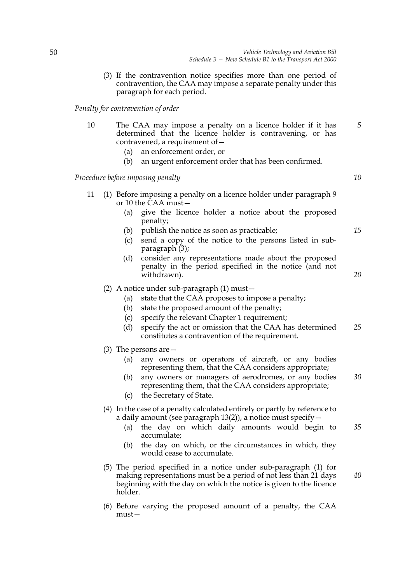(3) If the contravention notice specifies more than one period of contravention, the CAA may impose a separate penalty under this paragraph for each period.

*Penalty for contravention of order*

- 10 The CAA may impose a penalty on a licence holder if it has determined that the licence holder is contravening, or has contravened, a requirement of— *5*
	- (a) an enforcement order, or
	- (b) an urgent enforcement order that has been confirmed.

## *Procedure before imposing penalty*

- 11 (1) Before imposing a penalty on a licence holder under paragraph 9 or 10 the CAA must—
	- (a) give the licence holder a notice about the proposed penalty;
	- (b) publish the notice as soon as practicable;
	- (c) send a copy of the notice to the persons listed in subparagraph (3);
	- (d) consider any representations made about the proposed penalty in the period specified in the notice (and not withdrawn).
	- (2) A notice under sub-paragraph (1) must—
		- (a) state that the CAA proposes to impose a penalty;
		- (b) state the proposed amount of the penalty;
		- (c) specify the relevant Chapter 1 requirement;
		- (d) specify the act or omission that the CAA has determined constitutes a contravention of the requirement. *25*
	- (3) The persons are—
		- (a) any owners or operators of aircraft, or any bodies representing them, that the CAA considers appropriate;
		- (b) any owners or managers of aerodromes, or any bodies representing them, that the CAA considers appropriate; *30*
		- (c) the Secretary of State.

## (4) In the case of a penalty calculated entirely or partly by reference to a daily amount (see paragraph 13(2)), a notice must specify—

- (a) the day on which daily amounts would begin to accumulate; *35*
- (b) the day on which, or the circumstances in which, they would cease to accumulate.
- (5) The period specified in a notice under sub-paragraph (1) for making representations must be a period of not less than 21 days beginning with the day on which the notice is given to the licence holder.
- (6) Before varying the proposed amount of a penalty, the CAA must—

*10*

*15*

*20*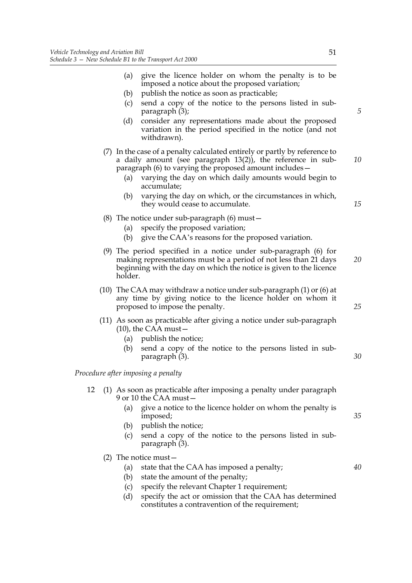|    | give the licence holder on whom the penalty is to be<br>(a)<br>imposed a notice about the proposed variation;<br>publish the notice as soon as practicable;<br>(b)<br>send a copy of the notice to the persons listed in sub-<br>(c)<br>paragraph (3);<br>consider any representations made about the proposed<br>(d)<br>variation in the period specified in the notice (and not<br>withdrawn). | 5        |
|----|--------------------------------------------------------------------------------------------------------------------------------------------------------------------------------------------------------------------------------------------------------------------------------------------------------------------------------------------------------------------------------------------------|----------|
|    | (7) In the case of a penalty calculated entirely or partly by reference to<br>a daily amount (see paragraph 13(2)), the reference in sub-<br>paragraph (6) to varying the proposed amount includes –<br>varying the day on which daily amounts would begin to<br>(a)<br>accumulate;<br>varying the day on which, or the circumstances in which,<br>(b)<br>they would cease to accumulate.        | 10<br>15 |
|    | (8) The notice under sub-paragraph $(6)$ must $-$<br>specify the proposed variation;<br>(a)<br>(b)<br>give the CAA's reasons for the proposed variation.                                                                                                                                                                                                                                         |          |
|    | $(9)$ The period specified in a notice under sub-paragraph $(6)$ for<br>making representations must be a period of not less than 21 days<br>beginning with the day on which the notice is given to the licence<br>holder.                                                                                                                                                                        | 20       |
|    | (10) The CAA may withdraw a notice under sub-paragraph $(1)$ or $(6)$ at<br>any time by giving notice to the licence holder on whom it<br>proposed to impose the penalty.                                                                                                                                                                                                                        | 25       |
|    | (11) As soon as practicable after giving a notice under sub-paragraph<br>$(10)$ , the CAA must-<br>(a) publish the notice;<br>send a copy of the notice to the persons listed in sub-<br>(b)<br>paragraph (3).                                                                                                                                                                                   | 30       |
|    | Procedure after imposing a penalty                                                                                                                                                                                                                                                                                                                                                               |          |
| 12 | (1) As soon as practicable after imposing a penalty under paragraph<br>9 or 10 the CAA must -<br>give a notice to the licence holder on whom the penalty is<br>(a)<br>imposed;<br>publish the notice;<br>(b)<br>send a copy of the notice to the persons listed in sub-<br>(c)<br>paragraph (3).                                                                                                 | 35       |
|    | $(2)$ The notice must –<br>state that the CAA has imposed a penalty;<br>(a)<br>state the amount of the negative<br>(1)                                                                                                                                                                                                                                                                           | 40       |

- (b) state the amount of the penalty;
- (c) specify the relevant Chapter 1 requirement;
- (d) specify the act or omission that the CAA has determined constitutes a contravention of the requirement;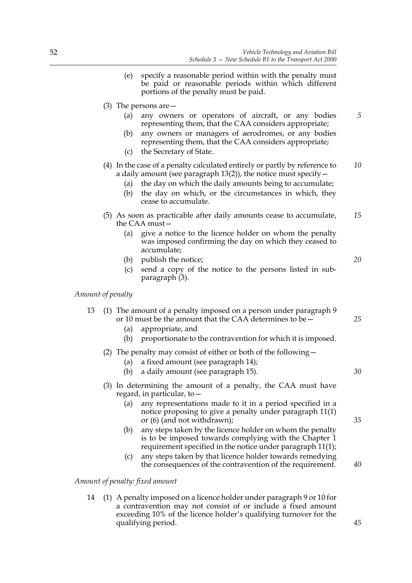- (e) specify a reasonable period within with the penalty must be paid or reasonable periods within which different portions of the penalty must be paid.
- (3) The persons are—
	- (a) any owners or operators of aircraft, or any bodies representing them, that the CAA considers appropriate;
	- (b) any owners or managers of aerodromes, or any bodies representing them, that the CAA considers appropriate;
	- (c) the Secretary of State.

#### (4) In the case of a penalty calculated entirely or partly by reference to a daily amount (see paragraph  $13(2)$ ), the notice must specify  $-$ *10*

- (a) the day on which the daily amounts being to accumulate;
- (b) the day on which, or the circumstances in which, they cease to accumulate.
- (5) As soon as practicable after daily amounts cease to accumulate, the CAA must— *15*
	- (a) give a notice to the licence holder on whom the penalty was imposed confirming the day on which they ceased to accumulate;
	- (b) publish the notice;
	- (c) send a copy of the notice to the persons listed in subparagraph (3).

## *Amount of penalty*

## 13 (1) The amount of a penalty imposed on a person under paragraph 9 or 10 must be the amount that the CAA determines to be—

- (a) appropriate, and
- (b) proportionate to the contravention for which it is imposed.
- (2) The penalty may consist of either or both of the following—
	- (a) a fixed amount (see paragraph 14);
	- (b) a daily amount (see paragraph 15).
- (3) In determining the amount of a penalty, the CAA must have regard, in particular, to—
	- (a) any representations made to it in a period specified in a notice proposing to give a penalty under paragraph 11(1) or  $(6)$  (and not withdrawn);
	- (b) any steps taken by the licence holder on whom the penalty is to be imposed towards complying with the Chapter 1 requirement specified in the notice under paragraph 11(1);
	- (c) any steps taken by that licence holder towards remedying the consequences of the contravention of the requirement.

## *Amount of penalty: fixed amount*

14 (1) A penalty imposed on a licence holder under paragraph 9 or 10 for a contravention may not consist of or include a fixed amount exceeding 10% of the licence holder's qualifying turnover for the qualifying period.

*25*

*30*

*20*

*5*

*40*

*45*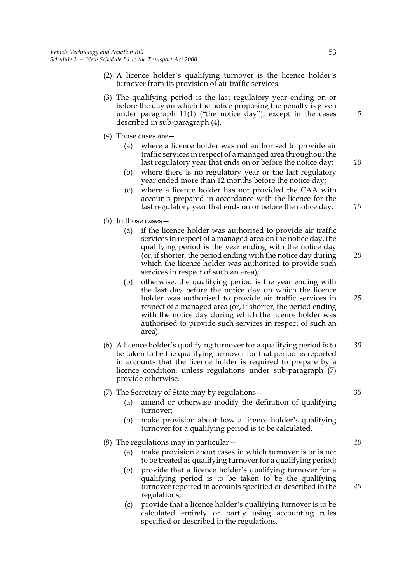- (2) A licence holder's qualifying turnover is the licence holder's turnover from its provision of air traffic services.
- (3) The qualifying period is the last regulatory year ending on or before the day on which the notice proposing the penalty is given under paragraph 11(1) ("the notice day"), except in the cases described in sub-paragraph (4).
- (4) Those cases are—
	- (a) where a licence holder was not authorised to provide air traffic services in respect of a managed area throughout the last regulatory year that ends on or before the notice day;
	- (b) where there is no regulatory year or the last regulatory year ended more than 12 months before the notice day;
	- (c) where a licence holder has not provided the CAA with accounts prepared in accordance with the licence for the last regulatory year that ends on or before the notice day.
- (5) In those cases—
	- (a) if the licence holder was authorised to provide air traffic services in respect of a managed area on the notice day, the qualifying period is the year ending with the notice day (or, if shorter, the period ending with the notice day during which the licence holder was authorised to provide such services in respect of such an area);
	- (b) otherwise, the qualifying period is the year ending with the last day before the notice day on which the licence holder was authorised to provide air traffic services in respect of a managed area (or, if shorter, the period ending with the notice day during which the licence holder was authorised to provide such services in respect of such an area).
- (6) A licence holder's qualifying turnover for a qualifying period is to be taken to be the qualifying turnover for that period as reported in accounts that the licence holder is required to prepare by a licence condition, unless regulations under sub-paragraph (7) provide otherwise. *30*
- (7) The Secretary of State may by regulations—
	- (a) amend or otherwise modify the definition of qualifying turnover;
	- (b) make provision about how a licence holder's qualifying turnover for a qualifying period is to be calculated.

(8) The regulations may in particular—

- (a) make provision about cases in which turnover is or is not to be treated as qualifying turnover for a qualifying period;
- (b) provide that a licence holder's qualifying turnover for a qualifying period is to be taken to be the qualifying turnover reported in accounts specified or described in the regulations;
- (c) provide that a licence holder's qualifying turnover is to be calculated entirely or partly using accounting rules specified or described in the regulations.

*5*

*10*

*15*

*20*

*25*

*35*

*40*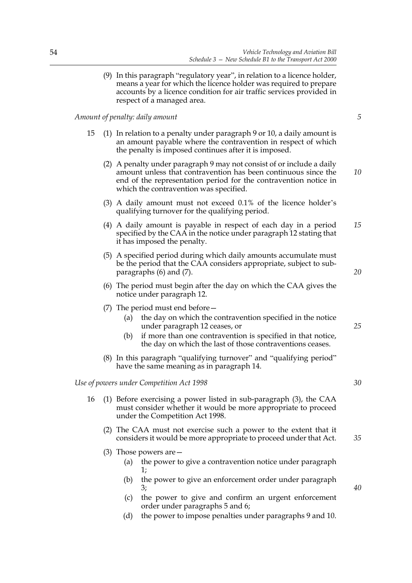(9) In this paragraph "regulatory year", in relation to a licence holder, means a year for which the licence holder was required to prepare accounts by a licence condition for air traffic services provided in respect of a managed area.

## *Amount of penalty: daily amount*

- 15 (1) In relation to a penalty under paragraph 9 or 10, a daily amount is an amount payable where the contravention in respect of which the penalty is imposed continues after it is imposed.
	- (2) A penalty under paragraph 9 may not consist of or include a daily amount unless that contravention has been continuous since the end of the representation period for the contravention notice in which the contravention was specified. *10*
	- (3) A daily amount must not exceed 0.1% of the licence holder's qualifying turnover for the qualifying period.
	- (4) A daily amount is payable in respect of each day in a period specified by the CAA in the notice under paragraph 12 stating that it has imposed the penalty. *15*
	- (5) A specified period during which daily amounts accumulate must be the period that the CAA considers appropriate, subject to subparagraphs (6) and (7).
	- (6) The period must begin after the day on which the CAA gives the notice under paragraph 12.
	- (7) The period must end before—
		- (a) the day on which the contravention specified in the notice under paragraph 12 ceases, or
		- (b) if more than one contravention is specified in that notice, the day on which the last of those contraventions ceases.
	- (8) In this paragraph "qualifying turnover" and "qualifying period" have the same meaning as in paragraph 14.

## *Use of powers under Competition Act 1998*

- 16 (1) Before exercising a power listed in sub-paragraph (3), the CAA must consider whether it would be more appropriate to proceed under the Competition Act 1998.
	- (2) The CAA must not exercise such a power to the extent that it considers it would be more appropriate to proceed under that Act.
	- (3) Those powers are—
		- (a) the power to give a contravention notice under paragraph 1;
		- (b) the power to give an enforcement order under paragraph 3;
		- (c) the power to give and confirm an urgent enforcement order under paragraphs 5 and 6;
		- (d) the power to impose penalties under paragraphs 9 and 10.

*5*

*20*

*25*

*30*

*35*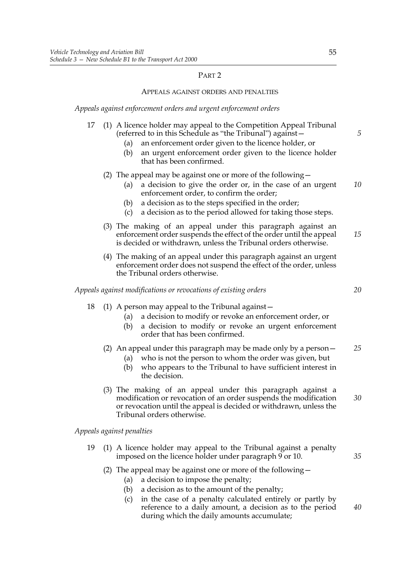# PART 2

## APPEALS AGAINST ORDERS AND PENALTIES

*Appeals against enforcement orders and urgent enforcement orders*

| 17 | (1) A licence holder may appeal to the Competition Appeal Tribunal<br>(referred to in this Schedule as "the Tribunal") against -<br>an enforcement order given to the licence holder, or<br>(a)<br>an urgent enforcement order given to the licence holder<br>(b)<br>that has been confirmed.                                                  | 5  |
|----|------------------------------------------------------------------------------------------------------------------------------------------------------------------------------------------------------------------------------------------------------------------------------------------------------------------------------------------------|----|
|    | (2) The appeal may be against one or more of the following $-$<br>a decision to give the order or, in the case of an urgent<br>(a)<br>enforcement order, to confirm the order;<br>a decision as to the steps specified in the order;<br>(b)<br>a decision as to the period allowed for taking those steps.<br>(c)                              | 10 |
|    | (3) The making of an appeal under this paragraph against an<br>enforcement order suspends the effect of the order until the appeal<br>is decided or withdrawn, unless the Tribunal orders otherwise.                                                                                                                                           | 15 |
|    | (4) The making of an appeal under this paragraph against an urgent<br>enforcement order does not suspend the effect of the order, unless<br>the Tribunal orders otherwise.                                                                                                                                                                     |    |
|    | Appeals against modifications or revocations of existing orders                                                                                                                                                                                                                                                                                | 20 |
| 18 | (1) A person may appeal to the Tribunal against $-$<br>a decision to modify or revoke an enforcement order, or<br>(a)<br>a decision to modify or revoke an urgent enforcement<br>(b)<br>order that has been confirmed.                                                                                                                         |    |
|    | (2) An appeal under this paragraph may be made only by a person $-$<br>who is not the person to whom the order was given, but<br>(a)<br>who appears to the Tribunal to have sufficient interest in<br>(b)<br>the decision.                                                                                                                     | 25 |
|    | (3) The making of an appeal under this paragraph against a<br>modification or revocation of an order suspends the modification<br>or revocation until the appeal is decided or withdrawn, unless the<br>Tribunal orders otherwise.                                                                                                             | 30 |
|    | Appeals against penalties                                                                                                                                                                                                                                                                                                                      |    |
| 19 | (1) A licence holder may appeal to the Tribunal against a penalty<br>imposed on the licence holder under paragraph 9 or 10.                                                                                                                                                                                                                    | 35 |
|    | (2) The appeal may be against one or more of the following $-$<br>a decision to impose the penalty;<br>(a)<br>a decision as to the amount of the penalty;<br>(b)<br>in the case of a penalty calculated entirely or partly by<br>(c)<br>reference to a daily amount, a decision as to the period<br>during which the daily amounts accumulate; | 40 |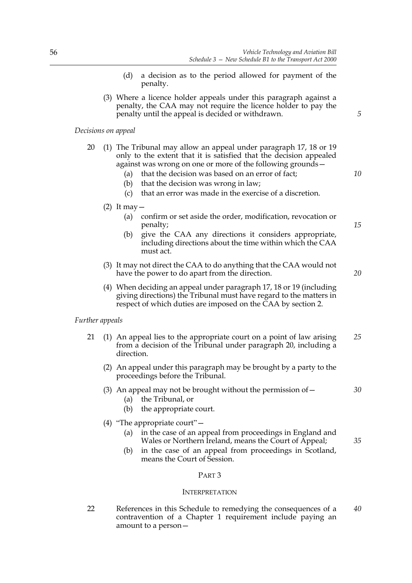- (d) a decision as to the period allowed for payment of the penalty.
- (3) Where a licence holder appeals under this paragraph against a penalty, the CAA may not require the licence holder to pay the penalty until the appeal is decided or withdrawn.

## *Decisions on appeal*

- 20 (1) The Tribunal may allow an appeal under paragraph 17, 18 or 19 only to the extent that it is satisfied that the decision appealed against was wrong on one or more of the following grounds—
	- (a) that the decision was based on an error of fact;
	- (b) that the decision was wrong in law;
	- (c) that an error was made in the exercise of a discretion.
	- $(2)$  It may
		- (a) confirm or set aside the order, modification, revocation or penalty;
		- (b) give the CAA any directions it considers appropriate, including directions about the time within which the CAA must act.
	- (3) It may not direct the CAA to do anything that the CAA would not have the power to do apart from the direction.
	- (4) When deciding an appeal under paragraph 17, 18 or 19 (including giving directions) the Tribunal must have regard to the matters in respect of which duties are imposed on the CAA by section 2.

## *Further appeals*

- 21 (1) An appeal lies to the appropriate court on a point of law arising from a decision of the Tribunal under paragraph 20, including a direction. *25*
	- (2) An appeal under this paragraph may be brought by a party to the proceedings before the Tribunal.
	- (3) An appeal may not be brought without the permission of  $-$ 
		- (a) the Tribunal, or
		- (b) the appropriate court.
	- (4) "The appropriate court"—
		- (a) in the case of an appeal from proceedings in England and Wales or Northern Ireland, means the Court of Appeal;
		- (b) in the case of an appeal from proceedings in Scotland, means the Court of Session.

## PART 3

## INTERPRETATION

22 References in this Schedule to remedying the consequences of a contravention of a Chapter 1 requirement include paying an amount to a person— *40*

*10*

*5*

*20*

*15*

*30*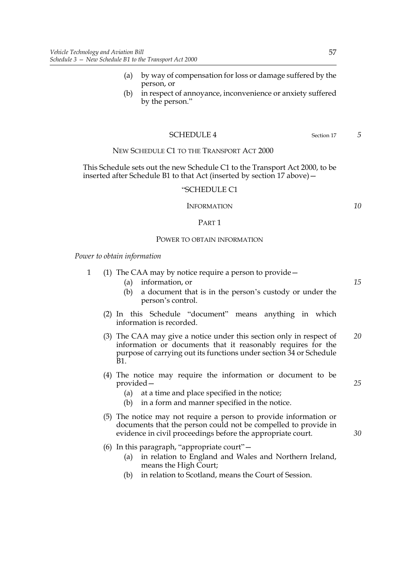- (a) by way of compensation for loss or damage suffered by the person, or
- (b) in respect of annoyance, inconvenience or anxiety suffered by the person."

## SCHEDULE 4 Section 17

## NEW SCHEDULE C1 TO THE TRANSPORT ACT 2000

This Schedule sets out the new Schedule C1 to the Transport Act 2000, to be inserted after Schedule B1 to that Act (inserted by section 17 above)—

### "SCHEDULE C1

#### INFORMATION

### PART 1

### POWER TO OBTAIN INFORMATION

*Power to obtain information*

- 1 (1) The CAA may by notice require a person to provide—
	- (a) information, or
	- (b) a document that is in the person's custody or under the person's control.
	- (2) In this Schedule "document" means anything in which information is recorded.
	- (3) The CAA may give a notice under this section only in respect of information or documents that it reasonably requires for the purpose of carrying out its functions under section 34 or Schedule B1. *20*
	- (4) The notice may require the information or document to be provided—
		- (a) at a time and place specified in the notice;
		- (b) in a form and manner specified in the notice.
	- (5) The notice may not require a person to provide information or documents that the person could not be compelled to provide in evidence in civil proceedings before the appropriate court.
	- (6) In this paragraph, "appropriate court"—
		- (a) in relation to England and Wales and Northern Ireland, means the High Court;
		- (b) in relation to Scotland, means the Court of Session.

*10*

*5*

*15*

*30*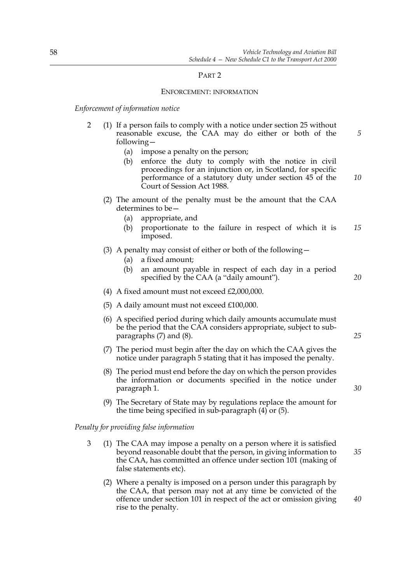## PART 2

## ENFORCEMENT: INFORMATION

*Enforcement of information notice*

- 2 (1) If a person fails to comply with a notice under section 25 without reasonable excuse, the CAA may do either or both of the following— *5*
	- (a) impose a penalty on the person;
	- (b) enforce the duty to comply with the notice in civil proceedings for an injunction or, in Scotland, for specific performance of a statutory duty under section 45 of the Court of Session Act 1988.
	- (2) The amount of the penalty must be the amount that the CAA determines to be—
		- (a) appropriate, and
		- (b) proportionate to the failure in respect of which it is imposed. *15*
	- (3) A penalty may consist of either or both of the following—
		- (a) a fixed amount;
		- (b) an amount payable in respect of each day in a period specified by the CAA (a "daily amount").
	- (4) A fixed amount must not exceed £2,000,000.
	- (5) A daily amount must not exceed £100,000.
	- (6) A specified period during which daily amounts accumulate must be the period that the CAA considers appropriate, subject to subparagraphs (7) and (8).
	- (7) The period must begin after the day on which the CAA gives the notice under paragraph 5 stating that it has imposed the penalty.
	- (8) The period must end before the day on which the person provides the information or documents specified in the notice under paragraph 1.
	- (9) The Secretary of State may by regulations replace the amount for the time being specified in sub-paragraph  $(4)$  or  $(5)$ .

## *Penalty for providing false information*

- 3 (1) The CAA may impose a penalty on a person where it is satisfied beyond reasonable doubt that the person, in giving information to the CAA, has committed an offence under section 101 (making of false statements etc). *35*
	- (2) Where a penalty is imposed on a person under this paragraph by the CAA, that person may not at any time be convicted of the offence under section 101 in respect of the act or omission giving rise to the penalty.

*40*

*10*

*20*

*25*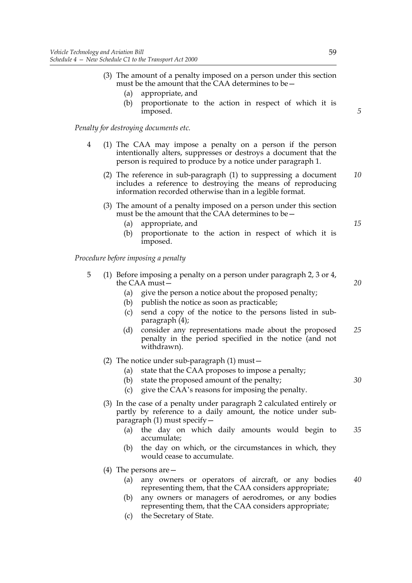- (3) The amount of a penalty imposed on a person under this section must be the amount that the CAA determines to be—
	- (a) appropriate, and
	- (b) proportionate to the action in respect of which it is imposed.

*Penalty for destroying documents etc.*

- 4 (1) The CAA may impose a penalty on a person if the person intentionally alters, suppresses or destroys a document that the person is required to produce by a notice under paragraph 1.
	- (2) The reference in sub-paragraph (1) to suppressing a document includes a reference to destroying the means of reproducing information recorded otherwise than in a legible format. *10*
	- (3) The amount of a penalty imposed on a person under this section must be the amount that the CAA determines to be—
		- (a) appropriate, and
		- (b) proportionate to the action in respect of which it is imposed.

*Procedure before imposing a penalty*

- 5 (1) Before imposing a penalty on a person under paragraph 2, 3 or 4, the CAA must—
	- (a) give the person a notice about the proposed penalty;
	- (b) publish the notice as soon as practicable;
	- (c) send a copy of the notice to the persons listed in subparagraph (4);
	- (d) consider any representations made about the proposed penalty in the period specified in the notice (and not withdrawn). *25*
	- (2) The notice under sub-paragraph (1) must—
		- (a) state that the CAA proposes to impose a penalty;
		- (b) state the proposed amount of the penalty;
		- (c) give the CAA's reasons for imposing the penalty.
	- (3) In the case of a penalty under paragraph 2 calculated entirely or partly by reference to a daily amount, the notice under subparagraph (1) must specify—
		- (a) the day on which daily amounts would begin to accumulate; *35*
		- (b) the day on which, or the circumstances in which, they would cease to accumulate.
	- (4) The persons are—
		- (a) any owners or operators of aircraft, or any bodies representing them, that the CAA considers appropriate; *40*
		- (b) any owners or managers of aerodromes, or any bodies representing them, that the CAA considers appropriate;
		- (c) the Secretary of State.

*15*

*20*

*30*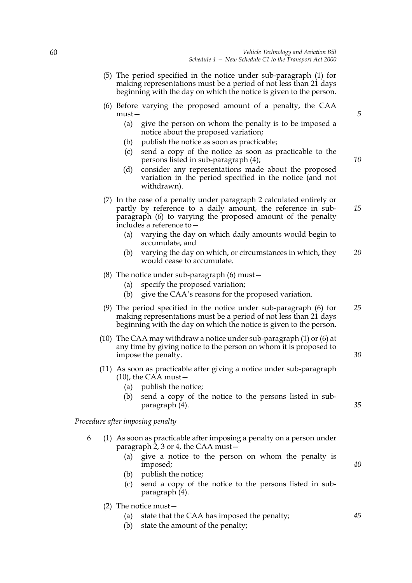- (5) The period specified in the notice under sub-paragraph (1) for making representations must be a period of not less than 21 days beginning with the day on which the notice is given to the person. (6) Before varying the proposed amount of a penalty, the CAA must—
	- (a) give the person on whom the penalty is to be imposed a notice about the proposed variation;
	- (b) publish the notice as soon as practicable;
	- (c) send a copy of the notice as soon as practicable to the persons listed in sub-paragraph (4);
	- (d) consider any representations made about the proposed variation in the period specified in the notice (and not withdrawn).
- (7) In the case of a penalty under paragraph 2 calculated entirely or partly by reference to a daily amount, the reference in subparagraph (6) to varying the proposed amount of the penalty includes a reference to— *15*
	- (a) varying the day on which daily amounts would begin to accumulate, and
	- (b) varying the day on which, or circumstances in which, they would cease to accumulate. *20*
- (8) The notice under sub-paragraph (6) must—
	- (a) specify the proposed variation;
	- (b) give the CAA's reasons for the proposed variation.
- (9) The period specified in the notice under sub-paragraph (6) for making representations must be a period of not less than 21 days beginning with the day on which the notice is given to the person. *25*
- (10) The CAA may withdraw a notice under sub-paragraph (1) or (6) at any time by giving notice to the person on whom it is proposed to impose the penalty.
- (11) As soon as practicable after giving a notice under sub-paragraph  $(10)$ , the CAA must  $-$ 
	- (a) publish the notice;
	- (b) send a copy of the notice to the persons listed in subparagraph (4).

*Procedure after imposing penalty*

- 6 (1) As soon as practicable after imposing a penalty on a person under paragraph 2, 3 or 4, the CAA must—
	- (a) give a notice to the person on whom the penalty is imposed;
	- (b) publish the notice;
	- (c) send a copy of the notice to the persons listed in subparagraph (4).
	- (2) The notice must—
		- (a) state that the CAA has imposed the penalty;
		- (b) state the amount of the penalty;

*5*

*10*

*30*

*35*

*40*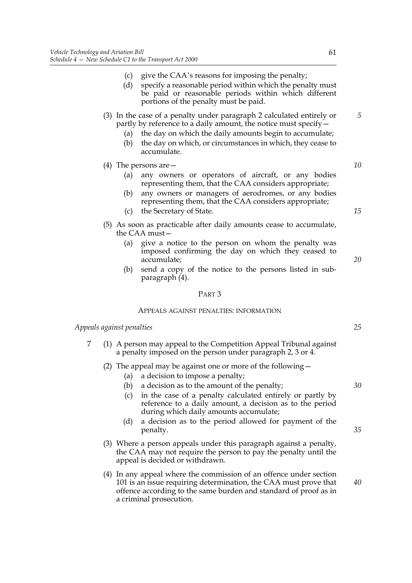- (c) give the CAA's reasons for imposing the penalty;
- (d) specify a reasonable period within which the penalty must be paid or reasonable periods within which different portions of the penalty must be paid.
- (3) In the case of a penalty under paragraph 2 calculated entirely or partly by reference to a daily amount, the notice must specify—
	- (a) the day on which the daily amounts begin to accumulate;
	- (b) the day on which, or circumstances in which, they cease to accumulate.

## (4) The persons are—

- (a) any owners or operators of aircraft, or any bodies representing them, that the CAA considers appropriate;
- (b) any owners or managers of aerodromes, or any bodies representing them, that the CAA considers appropriate;
- (c) the Secretary of State.
- (5) As soon as practicable after daily amounts cease to accumulate, the CAA must—
	- (a) give a notice to the person on whom the penalty was imposed confirming the day on which they ceased to accumulate;
	- (b) send a copy of the notice to the persons listed in subparagraph (4).

## PART 3

## APPEALS AGAINST PENALTIES: INFORMATION

*Appeals against penalties*

- 7 (1) A person may appeal to the Competition Appeal Tribunal against a penalty imposed on the person under paragraph 2, 3 or 4.
	- (2) The appeal may be against one or more of the following—
		- (a) a decision to impose a penalty;
		- (b) a decision as to the amount of the penalty;
		- (c) in the case of a penalty calculated entirely or partly by reference to a daily amount, a decision as to the period during which daily amounts accumulate;
		- (d) a decision as to the period allowed for payment of the penalty.
	- (3) Where a person appeals under this paragraph against a penalty, the CAA may not require the person to pay the penalty until the appeal is decided or withdrawn.
	- (4) In any appeal where the commission of an offence under section 101 is an issue requiring determination, the CAA must prove that offence according to the same burden and standard of proof as in a criminal prosecution.

*30*

*35*

*40*

*10*

*5*

*15*

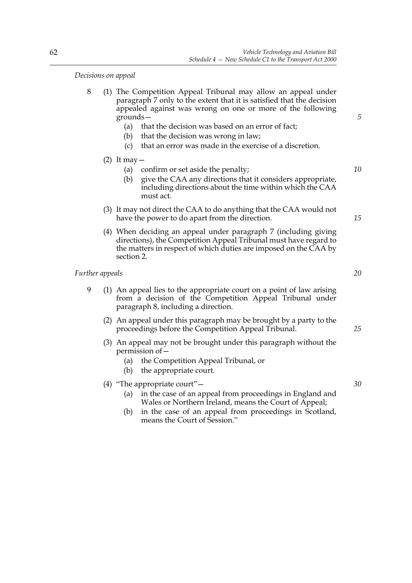*Decisions on appeal*

| (1) The Competition Appeal Tribunal may allow an appeal under         |
|-----------------------------------------------------------------------|
| paragraph 7 only to the extent that it is satisfied that the decision |
| appealed against was wrong on one or more of the following            |
| $\text{grounds}$ –                                                    |

- (a) that the decision was based on an error of fact;
- (b) that the decision was wrong in law;
- (c) that an error was made in the exercise of a discretion.
- (2) It may  $-$ 
	- (a) confirm or set aside the penalty;
	- (b) give the CAA any directions that it considers appropriate, including directions about the time within which the CAA must act.
- (3) It may not direct the CAA to do anything that the CAA would not have the power to do apart from the direction.
- (4) When deciding an appeal under paragraph 7 (including giving directions), the Competition Appeal Tribunal must have regard to the matters in respect of which duties are imposed on the CAA by section 2.

*Further appeals*

- 9 (1) An appeal lies to the appropriate court on a point of law arising from a decision of the Competition Appeal Tribunal under paragraph 8, including a direction.
	- (2) An appeal under this paragraph may be brought by a party to the proceedings before the Competition Appeal Tribunal.
	- (3) An appeal may not be brought under this paragraph without the permission of—
		- (a) the Competition Appeal Tribunal, or
		- (b) the appropriate court.
	- (4) "The appropriate court"—
		- (a) in the case of an appeal from proceedings in England and Wales or Northern Ireland, means the Court of Appeal;
		- (b) in the case of an appeal from proceedings in Scotland, means the Court of Session."

*5*

*15*

*10*

*20*

*25*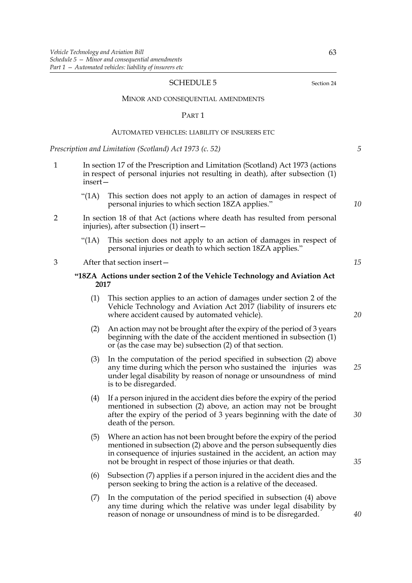### SCHEDULE 5 Section 24

#### MINOR AND CONSEQUENTIAL AMENDMENTS

#### PART 1

#### AUTOMATED VEHICLES: LIABILITY OF INSURERS ETC

*Prescription and Limitation (Scotland) Act 1973 (c. 52)*

- 1 In section 17 of the Prescription and Limitation (Scotland) Act 1973 (actions in respect of personal injuries not resulting in death), after subsection (1) insert—
	- "(1A) This section does not apply to an action of damages in respect of personal injuries to which section 18ZA applies."
- 2 In section 18 of that Act (actions where death has resulted from personal injuries), after subsection (1) insert—
	- "(1A) This section does not apply to an action of damages in respect of personal injuries or death to which section 18ZA applies."

### 3 After that section insert—

## **"18ZA Actions under section 2 of the Vehicle Technology and Aviation Act 2017**

- (1) This section applies to an action of damages under section 2 of the Vehicle Technology and Aviation Act 2017 (liability of insurers etc where accident caused by automated vehicle).
- (2) An action may not be brought after the expiry of the period of 3 years beginning with the date of the accident mentioned in subsection (1) or (as the case may be) subsection (2) of that section.
- (3) In the computation of the period specified in subsection (2) above any time during which the person who sustained the injuries was under legal disability by reason of nonage or unsoundness of mind is to be disregarded.
- (4) If a person injured in the accident dies before the expiry of the period mentioned in subsection (2) above, an action may not be brought after the expiry of the period of 3 years beginning with the date of death of the person.
- (5) Where an action has not been brought before the expiry of the period mentioned in subsection (2) above and the person subsequently dies in consequence of injuries sustained in the accident, an action may not be brought in respect of those injuries or that death.
- (6) Subsection (7) applies if a person injured in the accident dies and the person seeking to bring the action is a relative of the deceased.
- (7) In the computation of the period specified in subsection (4) above any time during which the relative was under legal disability by reason of nonage or unsoundness of mind is to be disregarded.

*5*

*15*

*10*

*20*

*25*

*30*

*35*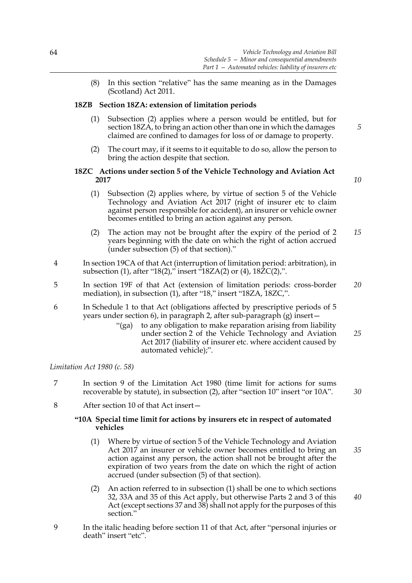(8) In this section "relative" has the same meaning as in the Damages (Scotland) Act 2011.

## **18ZB Section 18ZA: extension of limitation periods**

- (1) Subsection (2) applies where a person would be entitled, but for section 18ZA, to bring an action other than one in which the damages claimed are confined to damages for loss of or damage to property.
- (2) The court may, if it seems to it equitable to do so, allow the person to bring the action despite that section.

## **18ZC Actions under section 5 of the Vehicle Technology and Aviation Act 2017**

*10*

*5*

- (1) Subsection (2) applies where, by virtue of section 5 of the Vehicle Technology and Aviation Act 2017 (right of insurer etc to claim against person responsible for accident), an insurer or vehicle owner becomes entitled to bring an action against any person.
- (2) The action may not be brought after the expiry of the period of 2 years beginning with the date on which the right of action accrued (under subsection (5) of that section)." *15*
- 4 In section 19CA of that Act (interruption of limitation period: arbitration), in subsection (1), after "18(2)," insert "18ZA(2) or (4),  $18\overline{2}C(2)$ ,".
- 5 In section 19F of that Act (extension of limitation periods: cross-border mediation), in subsection (1), after "18," insert "18ZA, 18ZC,". *20*
- 6 In Schedule 1 to that Act (obligations affected by prescriptive periods of 5 years under section 6), in paragraph 2, after sub-paragraph (g) insert—
	- "(ga) to any obligation to make reparation arising from liability under section 2 of the Vehicle Technology and Aviation Act 2017 (liability of insurer etc. where accident caused by automated vehicle);". *25*

## *Limitation Act 1980 (c. 58)*

- 7 In section 9 of the Limitation Act 1980 (time limit for actions for sums recoverable by statute), in subsection (2), after "section 10" insert "or 10A".
- 8 After section 10 of that Act insert—

## **"10A Special time limit for actions by insurers etc in respect of automated vehicles**

- (1) Where by virtue of section 5 of the Vehicle Technology and Aviation Act 2017 an insurer or vehicle owner becomes entitled to bring an action against any person, the action shall not be brought after the expiration of two years from the date on which the right of action accrued (under subsection (5) of that section). *35*
- (2) An action referred to in subsection (1) shall be one to which sections 32, 33A and 35 of this Act apply, but otherwise Parts 2 and 3 of this Act (except sections 37 and 38) shall not apply for the purposes of this section."
- 9 In the italic heading before section 11 of that Act, after "personal injuries or death" insert "etc".

64

*30*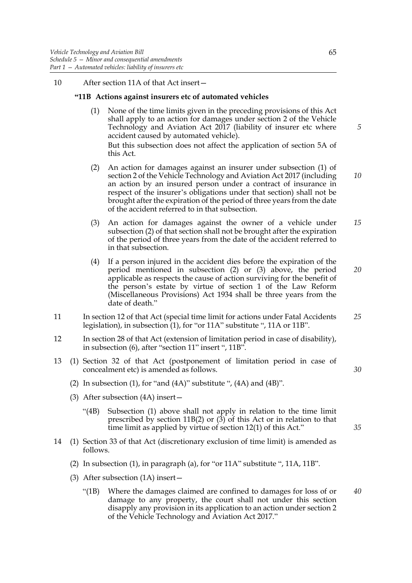### 10 After section 11A of that Act insert—

### **"11B Actions against insurers etc of automated vehicles**

- (1) None of the time limits given in the preceding provisions of this Act shall apply to an action for damages under section 2 of the Vehicle Technology and Aviation Act 2017 (liability of insurer etc where accident caused by automated vehicle). But this subsection does not affect the application of section 5A of this Act.
- (2) An action for damages against an insurer under subsection (1) of section 2 of the Vehicle Technology and Aviation Act 2017 (including an action by an insured person under a contract of insurance in respect of the insurer's obligations under that section) shall not be brought after the expiration of the period of three years from the date of the accident referred to in that subsection. *10*
- (3) An action for damages against the owner of a vehicle under subsection (2) of that section shall not be brought after the expiration of the period of three years from the date of the accident referred to in that subsection. *15*
- (4) If a person injured in the accident dies before the expiration of the period mentioned in subsection (2) or (3) above, the period applicable as respects the cause of action surviving for the benefit of the person's estate by virtue of section 1 of the Law Reform (Miscellaneous Provisions) Act 1934 shall be three years from the date of death." *20*
- 11 In section 12 of that Act (special time limit for actions under Fatal Accidents legislation), in subsection (1), for "or 11A" substitute ", 11A or 11B". *25*
- 12 In section 28 of that Act (extension of limitation period in case of disability), in subsection (6), after "section 11" insert ", 11B".
- 13 (1) Section 32 of that Act (postponement of limitation period in case of concealment etc) is amended as follows.
	- (2) In subsection  $(1)$ , for "and  $(4A)$ " substitute ",  $(4A)$  and  $(4B)$ ".
	- (3) After subsection (4A) insert—
		- "(4B) Subsection (1) above shall not apply in relation to the time limit prescribed by section 11B(2) or (3) of this Act or in relation to that time limit as applied by virtue of section 12(1) of this Act."
- 14 (1) Section 33 of that Act (discretionary exclusion of time limit) is amended as follows.
	- (2) In subsection (1), in paragraph (a), for "or 11A" substitute ", 11A, 11B".
	- (3) After subsection (1A) insert—
		- "(1B) Where the damages claimed are confined to damages for loss of or damage to any property, the court shall not under this section disapply any provision in its application to an action under section 2 of the Vehicle Technology and Aviation Act 2017." *40*

*5*

*35*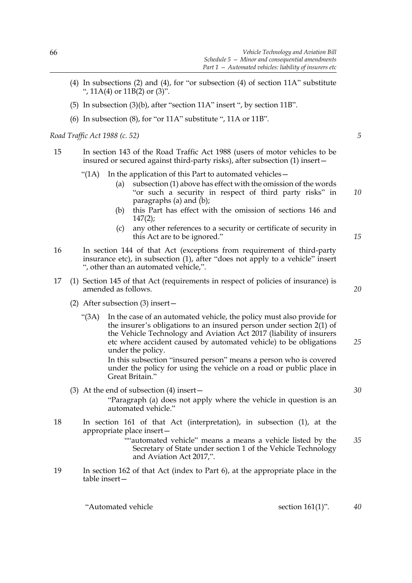- (4) In subsections (2) and (4), for "or subsection (4) of section 11A" substitute ", 11A(4) or 11B(2) or (3)".
- (5) In subsection (3)(b), after "section 11A" insert ", by section 11B".
- (6) In subsection (8), for "or 11A" substitute ", 11A or 11B".

*Road Traffic Act 1988 (c. 52)*

*5*

- 15 In section 143 of the Road Traffic Act 1988 (users of motor vehicles to be insured or secured against third-party risks), after subsection (1) insert—
	- " $(1)$  In the application of this Part to automated vehicles  $-$ 
		- (a) subsection (1) above has effect with the omission of the words "or such a security in respect of third party risks" in paragraphs (a) and  $(b)$ ;
		- (b) this Part has effect with the omission of sections 146 and  $147(2)$ ;
		- (c) any other references to a security or certificate of security in this Act are to be ignored."
- 16 In section 144 of that Act (exceptions from requirement of third-party insurance etc), in subsection (1), after "does not apply to a vehicle" insert ", other than an automated vehicle,".
- 17 (1) Section 145 of that Act (requirements in respect of policies of insurance) is amended as follows.
	- (2) After subsection (3) insert—
		- "(3A) In the case of an automated vehicle, the policy must also provide for the insurer's obligations to an insured person under section 2(1) of the Vehicle Technology and Aviation Act 2017 (liability of insurers etc where accident caused by automated vehicle) to be obligations under the policy.

In this subsection "insured person" means a person who is covered under the policy for using the vehicle on a road or public place in Great Britain."

- (3) At the end of subsection (4) insert— "Paragraph (a) does not apply where the vehicle in question is an automated vehicle."
- 18 In section 161 of that Act (interpretation), in subsection (1), at the appropriate place insert—
	- ""automated vehicle" means a means a vehicle listed by the Secretary of State under section 1 of the Vehicle Technology and Aviation Act 2017,". *35*
- 19 In section 162 of that Act (index to Part 6), at the appropriate place in the table insert—

"Automated vehicle section 161(1)".

*40*

*15*

*20*

*25*

*10*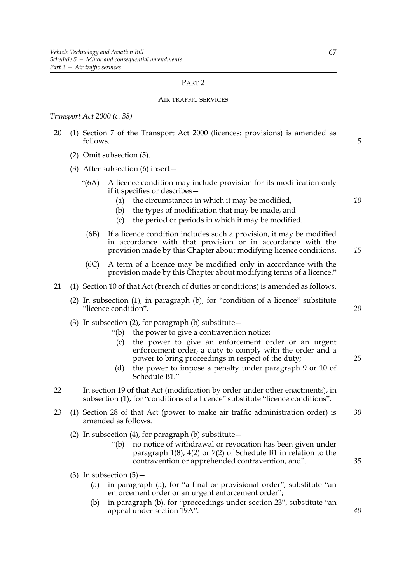## PART 2

### AIR TRAFFIC SERVICES

*Transport Act 2000 (c. 38)*

- 20 (1) Section 7 of the Transport Act 2000 (licences: provisions) is amended as follows.
	- (2) Omit subsection (5).
	- (3) After subsection (6) insert—
		- "(6A) A licence condition may include provision for its modification only if it specifies or describes—
			- (a) the circumstances in which it may be modified,
			- (b) the types of modification that may be made, and
			- (c) the period or periods in which it may be modified.
		- (6B) If a licence condition includes such a provision, it may be modified in accordance with that provision or in accordance with the provision made by this Chapter about modifying licence conditions. *15*
		- (6C) A term of a licence may be modified only in accordance with the provision made by this Chapter about modifying terms of a licence."
- 21 (1) Section 10 of that Act (breach of duties or conditions) is amended as follows.
	- (2) In subsection (1), in paragraph (b), for "condition of a licence" substitute "licence condition".
	- (3) In subsection (2), for paragraph (b) substitute  $-$ 
		- "(b) the power to give a contravention notice;
			- (c) the power to give an enforcement order or an urgent enforcement order, a duty to comply with the order and a power to bring proceedings in respect of the duty;
		- (d) the power to impose a penalty under paragraph 9 or 10 of Schedule B1."
- 22 In section 19 of that Act (modification by order under other enactments), in subsection (1), for "conditions of a licence" substitute "licence conditions".
- 23 (1) Section 28 of that Act (power to make air traffic administration order) is amended as follows. *30*
	- (2) In subsection (4), for paragraph (b) substitute  $-$ 
		- "(b) no notice of withdrawal or revocation has been given under paragraph 1(8), 4(2) or 7(2) of Schedule B1 in relation to the contravention or apprehended contravention, and".
	- (3) In subsection  $(5)$ 
		- (a) in paragraph (a), for "a final or provisional order", substitute "an enforcement order or an urgent enforcement order";
		- (b) in paragraph (b), for "proceedings under section 23", substitute "an appeal under section 19A".

*20*

*25*

*35*

*40*

*5*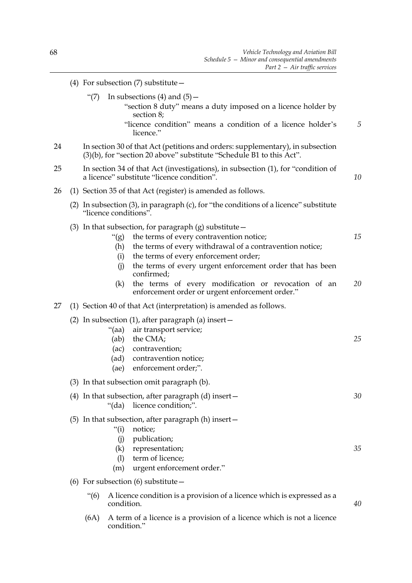*5*

*10*

*15*

"(7) In subsections (4) and  $(5)$  -"section 8 duty" means a duty imposed on a licence holder by section 8; "licence condition" means a condition of a licence holder's licence." 24 In section 30 of that Act (petitions and orders: supplementary), in subsection (3)(b), for "section 20 above" substitute "Schedule B1 to this Act". 25 In section 34 of that Act (investigations), in subsection (1), for "condition of a licence" substitute "licence condition". 26 (1) Section 35 of that Act (register) is amended as follows. (2) In subsection (3), in paragraph (c), for "the conditions of a licence" substitute "licence conditions". (3) In that subsection, for paragraph  $(g)$  substitute  $-$ "(g) the terms of every contravention notice; (h) the terms of every withdrawal of a contravention notice; (i) the terms of every enforcement order;

(4) For subsection  $(7)$  substitute  $-$ 

- (j) the terms of every urgent enforcement order that has been confirmed;
- (k) the terms of every modification or revocation of an enforcement order or urgent enforcement order." *20*

## 27 (1) Section 40 of that Act (interpretation) is amended as follows.

condition."

| (2) |                             | In subsection $(1)$ , after paragraph $(a)$ insert $-$                  |    |
|-----|-----------------------------|-------------------------------------------------------------------------|----|
|     |                             | "(aa) air transport service;                                            |    |
|     | (ab)                        | the CMA;                                                                | 25 |
|     | (ac)                        | contravention;                                                          |    |
|     |                             | (ad) contravention notice;                                              |    |
|     | (ae)                        | enforcement order;".                                                    |    |
|     |                             | (3) In that subsection omit paragraph (b).                              |    |
|     |                             | (4) In that subsection, after paragraph (d) insert $-$                  | 30 |
|     |                             | "(da) licence condition;".                                              |    |
|     |                             | $(5)$ In that subsection, after paragraph $(h)$ insert $-$              |    |
|     | ``(i)                       | notice;                                                                 |    |
|     | (i)                         | publication;                                                            |    |
|     |                             | (k) representation;                                                     | 35 |
|     | (1)                         | term of licence;                                                        |    |
|     | (m)                         | urgent enforcement order."                                              |    |
|     |                             | (6) For subsection (6) substitute $-$                                   |    |
|     | $\degree$ (6)<br>condition. | A licence condition is a provision of a licence which is expressed as a | 40 |
|     | (6A)                        | A term of a licence is a provision of a licence which is not a licence  |    |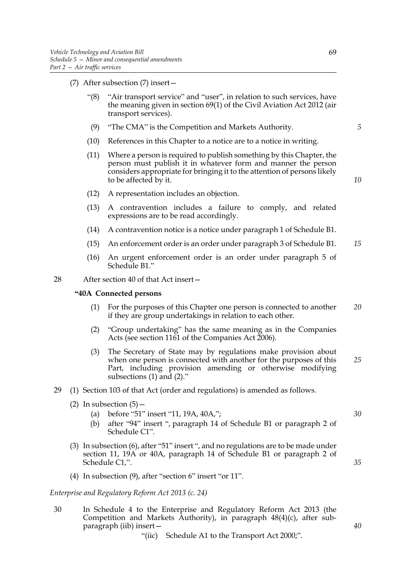- (7) After subsection (7) insert—
	- "(8) "Air transport service" and "user", in relation to such services, have the meaning given in section 69(1) of the Civil Aviation Act 2012 (air transport services).
	- (9) "The CMA" is the Competition and Markets Authority.
	- (10) References in this Chapter to a notice are to a notice in writing.
	- (11) Where a person is required to publish something by this Chapter, the person must publish it in whatever form and manner the person considers appropriate for bringing it to the attention of persons likely to be affected by it.
	- (12) A representation includes an objection.
	- (13) A contravention includes a failure to comply, and related expressions are to be read accordingly.
	- (14) A contravention notice is a notice under paragraph 1 of Schedule B1.
	- (15) An enforcement order is an order under paragraph 3 of Schedule B1. *15*
	- (16) An urgent enforcement order is an order under paragraph 5 of Schedule B1."
- 28 After section 40 of that Act insert—

## **"40A Connected persons**

- (1) For the purposes of this Chapter one person is connected to another if they are group undertakings in relation to each other. *20*
- (2) "Group undertaking" has the same meaning as in the Companies Acts (see section 1161 of the Companies Act 2006).
- (3) The Secretary of State may by regulations make provision about when one person is connected with another for the purposes of this Part, including provision amending or otherwise modifying subsections (1) and (2)." *25*
- 29 (1) Section 103 of that Act (order and regulations) is amended as follows.
	- (2) In subsection  $(5)$  -
		- (a) before "51" insert "11, 19A, 40A,";
		- (b) after "94" insert ", paragraph 14 of Schedule B1 or paragraph 2 of Schedule C1".
	- (3) In subsection (6), after "51" insert ", and no regulations are to be made under section 11, 19A or 40A, paragraph 14 of Schedule B1 or paragraph 2 of Schedule C1,".
	- (4) In subsection (9), after "section 6" insert "or 11".

*Enterprise and Regulatory Reform Act 2013 (c. 24)*

- 30 In Schedule 4 to the Enterprise and Regulatory Reform Act 2013 (the Competition and Markets Authority), in paragraph 48(4)(c), after subparagraph (iib) insert—
	- "(iic) Schedule A1 to the Transport Act 2000;".

*5*

*10*

*30*

*35*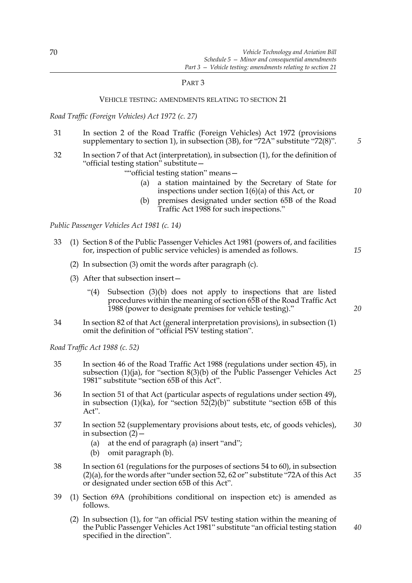## PART 3

## VEHICLE TESTING: AMENDMENTS RELATING TO SECTION 21

*Road Traffic (Foreign Vehicles) Act 1972 (c. 27)*

- 31 In section 2 of the Road Traffic (Foreign Vehicles) Act 1972 (provisions supplementary to section 1), in subsection (3B), for "72A" substitute "72(8)". *5*
- 32 In section 7 of that Act (interpretation), in subsection (1), for the definition of "official testing station" substitute—

""official testing station" means—

- (a) a station maintained by the Secretary of State for inspections under section  $1(6)(a)$  of this Act, or
- (b) premises designated under section 65B of the Road Traffic Act 1988 for such inspections."

*Public Passenger Vehicles Act 1981 (c. 14)*

- 33 (1) Section 8 of the Public Passenger Vehicles Act 1981 (powers of, and facilities for, inspection of public service vehicles) is amended as follows. *15*
	- (2) In subsection (3) omit the words after paragraph (c).
	- (3) After that subsection insert—
		- "(4) Subsection (3)(b) does not apply to inspections that are listed procedures within the meaning of section 65B of the Road Traffic Act 1988 (power to designate premises for vehicle testing)."
- 34 In section 82 of that Act (general interpretation provisions), in subsection (1) omit the definition of "official PSV testing station".

*Road Traffic Act 1988 (c. 52)*

- 35 In section 46 of the Road Traffic Act 1988 (regulations under section 45), in subsection (1)(ja), for "section 8(3)(b) of the Public Passenger Vehicles Act 1981" substitute "section 65B of this Act". *25*
- 36 In section 51 of that Act (particular aspects of regulations under section 49), in subsection (1)(ka), for "section 52 $(2)(b)$ " substitute "section 65B of this Act".
- 37 In section 52 (supplementary provisions about tests, etc, of goods vehicles), in subsection (2)— *30*
	- (a) at the end of paragraph (a) insert "and";
	- (b) omit paragraph (b).
- 38 In section 61 (regulations for the purposes of sections 54 to 60), in subsection (2)(a), for the words after "under section 52, 62 or" substitute "72A of this Act or designated under section 65B of this Act". *35*
- 39 (1) Section 69A (prohibitions conditional on inspection etc) is amended as follows.
	- (2) In subsection (1), for "an official PSV testing station within the meaning of the Public Passenger Vehicles Act 1981" substitute "an official testing station specified in the direction". *40*

*20*

*10*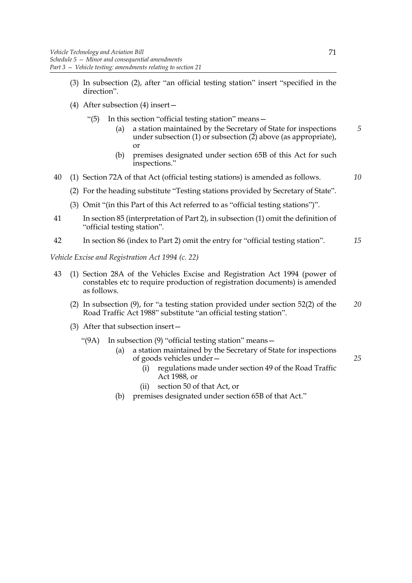- (3) In subsection (2), after "an official testing station" insert "specified in the direction".
- (4) After subsection (4) insert—
	- "(5) In this section "official testing station" means—
		- (a) a station maintained by the Secretary of State for inspections under subsection (1) or subsection (2) above (as appropriate), or *5*
			- (b) premises designated under section 65B of this Act for such inspections."
- 40 (1) Section 72A of that Act (official testing stations) is amended as follows.
	- (2) For the heading substitute "Testing stations provided by Secretary of State".
	- (3) Omit "(in this Part of this Act referred to as "official testing stations")".
- 41 In section 85 (interpretation of Part 2), in subsection (1) omit the definition of "official testing station".
- 42 In section 86 (index to Part 2) omit the entry for "official testing station". *15*

*Vehicle Excise and Registration Act 1994 (c. 22)*

- 43 (1) Section 28A of the Vehicles Excise and Registration Act 1994 (power of constables etc to require production of registration documents) is amended as follows.
	- (2) In subsection (9), for "a testing station provided under section 52(2) of the Road Traffic Act 1988" substitute "an official testing station". *20*
	- (3) After that subsection insert—
		- "(9A) In subsection (9) "official testing station" means—
			- (a) a station maintained by the Secretary of State for inspections of goods vehicles under—
				- (i) regulations made under section 49 of the Road Traffic Act 1988, or
				- (ii) section 50 of that Act, or
			- (b) premises designated under section 65B of that Act."

*25*

*10*